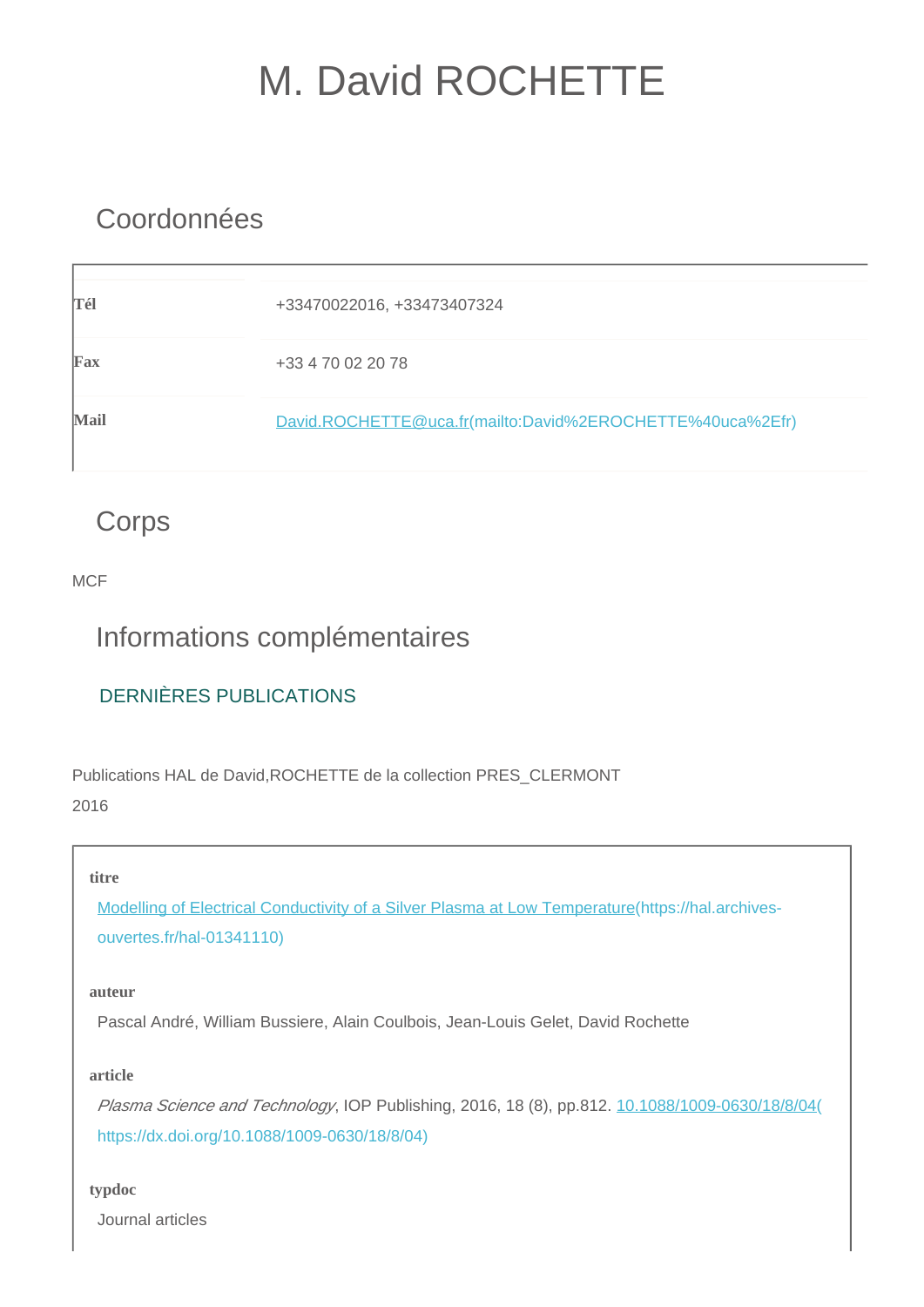# M. David ROCHETTE

## Coordonnées

| Tél         | +33470022016, +33473407324                                |
|-------------|-----------------------------------------------------------|
| Fax         | +33 4 70 02 20 78                                         |
| <b>Mail</b> | David.ROCHETTE@uca.fr(mailto:David%2EROCHETTE%40uca%2Efr) |

## **Corps**

**MCF** 

## Informations complémentaires

## DERNIÈRES PUBLICATIONS

Publications HAL de David,ROCHETTE de la collection PRES\_CLERMONT 2016

## **titre**

[Modelling of Electrical Conductivity of a Silver Plasma at Low Temperature\(https://hal.archives](https://hal.archives-ouvertes.fr/hal-01341110)[ouvertes.fr/hal-01341110\)](https://hal.archives-ouvertes.fr/hal-01341110)

## **auteur**

Pascal André, William Bussiere, Alain Coulbois, Jean-Louis Gelet, David Rochette

## **article**

Plasma Science and Technology, IOP Publishing, 2016, 18 (8), pp.812. [10.1088/1009-0630/18/8/04\(](https://dx.doi.org/10.1088/1009-0630/18/8/04) [https://dx.doi.org/10.1088/1009-0630/18/8/04\)](https://dx.doi.org/10.1088/1009-0630/18/8/04)

## **typdoc**

Journal articles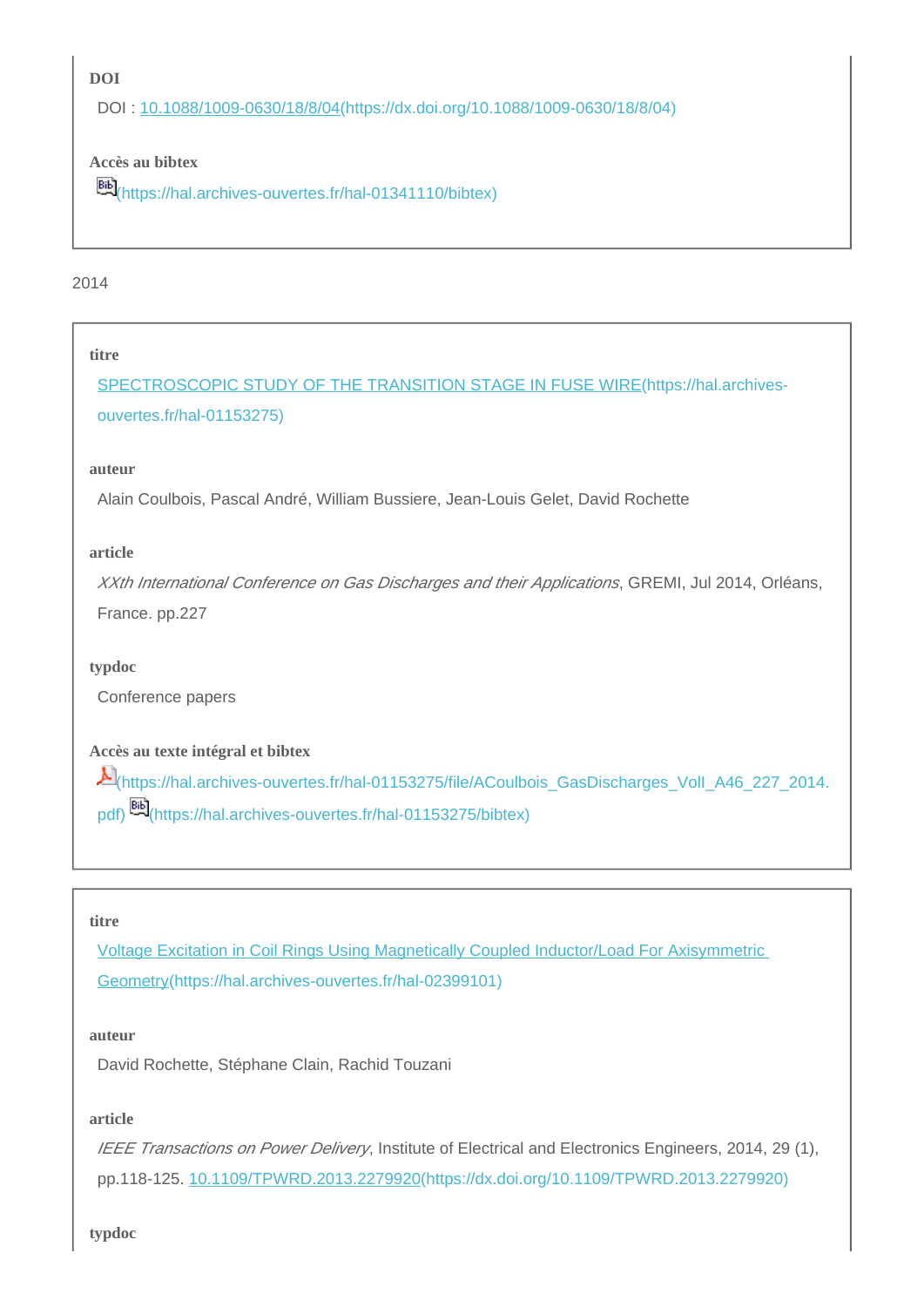**DOI**

DOI : [10.1088/1009-0630/18/8/04\(https://dx.doi.org/10.1088/1009-0630/18/8/04\)](https://dx.doi.org/10.1088/1009-0630/18/8/04)

## **Accès au bibtex**

**EE**<sup>[\(https://hal.archives-ouvertes.fr/hal-01341110/bibtex\)](https://hal.archives-ouvertes.fr/hal-01341110/bibtex)</sup>

## 2014

### **titre**

[SPECTROSCOPIC STUDY OF THE TRANSITION STAGE IN FUSE WIRE\(https://hal.archives](https://hal.archives-ouvertes.fr/hal-01153275)[ouvertes.fr/hal-01153275\)](https://hal.archives-ouvertes.fr/hal-01153275)

#### **auteur**

Alain Coulbois, Pascal André, William Bussiere, Jean-Louis Gelet, David Rochette

### **article**

XXth International Conference on Gas Discharges and their Applications, GREMI, Jul 2014, Orléans, France. pp.227

## **typdoc**

Conference papers

**Accès au texte intégral et bibtex**

[\(https://hal.archives-ouvertes.fr/hal-01153275/file/ACoulbois\\_GasDischarges\\_VolI\\_A46\\_227\\_2014.](https://hal.archives-ouvertes.fr/hal-01153275/file/ACoulbois_GasDischarges_VolI_A46_227_2014.pdf) [pdf\)](https://hal.archives-ouvertes.fr/hal-01153275/file/ACoulbois_GasDischarges_VolI_A46_227_2014.pdf) [\(https://hal.archives-ouvertes.fr/hal-01153275/bibtex\)](https://hal.archives-ouvertes.fr/hal-01153275/bibtex)

#### **titre**

[Voltage Excitation in Coil Rings Using Magnetically Coupled Inductor/Load For Axisymmetric](https://hal.archives-ouvertes.fr/hal-02399101)  [Geometry\(https://hal.archives-ouvertes.fr/hal-02399101\)](https://hal.archives-ouvertes.fr/hal-02399101)

#### **auteur**

David Rochette, Stéphane Clain, Rachid Touzani

#### **article**

IEEE Transactions on Power Delivery, Institute of Electrical and Electronics Engineers, 2014, 29 (1), pp.118-125. [10.1109/TPWRD.2013.2279920\(https://dx.doi.org/10.1109/TPWRD.2013.2279920\)](https://dx.doi.org/10.1109/TPWRD.2013.2279920)

**typdoc**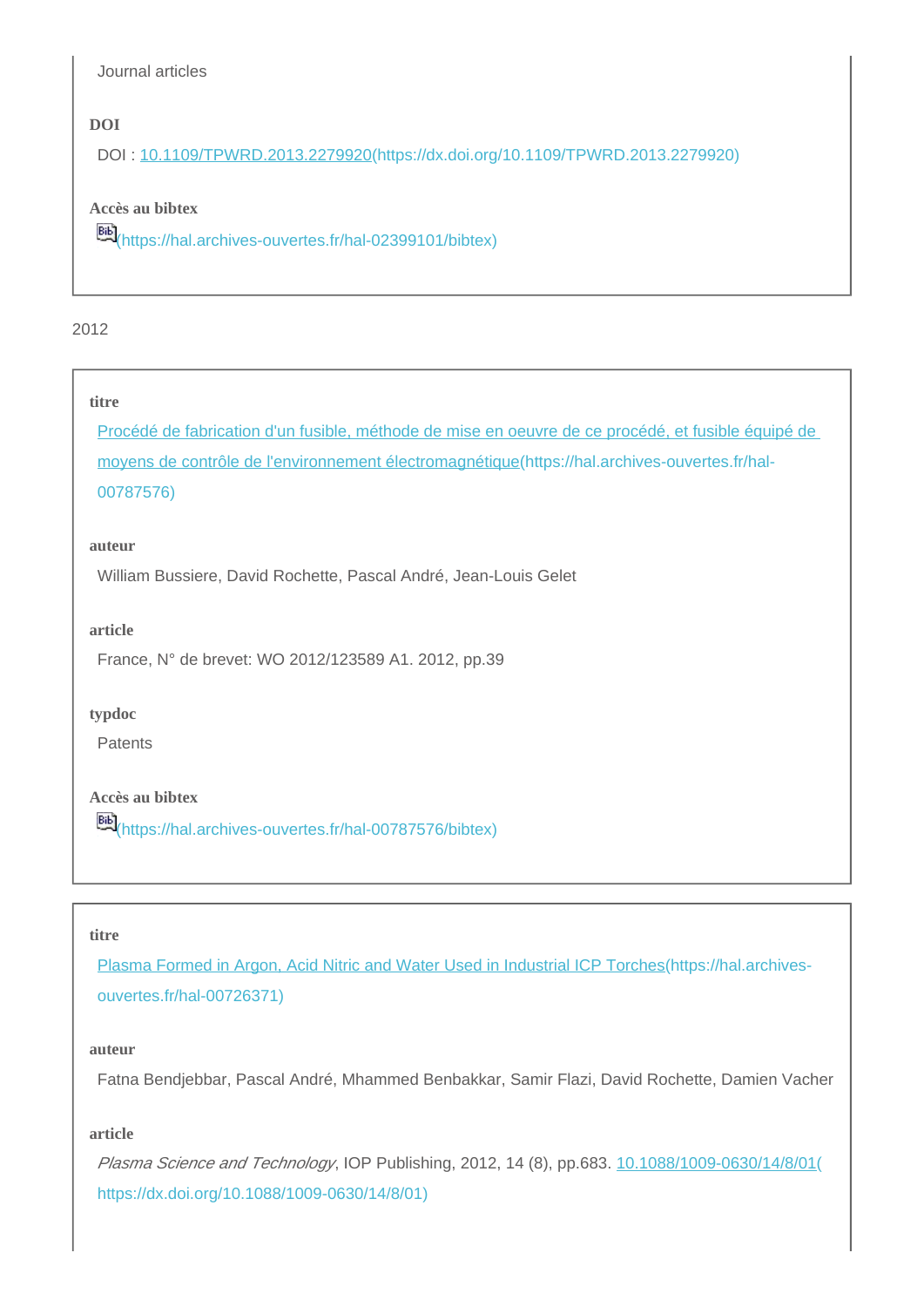Journal articles

## **DOI**

DOI : [10.1109/TPWRD.2013.2279920\(https://dx.doi.org/10.1109/TPWRD.2013.2279920\)](https://dx.doi.org/10.1109/TPWRD.2013.2279920)

## **Accès au bibtex**

[\(https://hal.archives-ouvertes.fr/hal-02399101/bibtex\)](https://hal.archives-ouvertes.fr/hal-02399101/bibtex)

## 2012

### **titre**

[Procédé de fabrication d'un fusible, méthode de mise en oeuvre de ce procédé, et fusible équipé de](https://hal.archives-ouvertes.fr/hal-00787576)  [moyens de contrôle de l'environnement électromagnétique\(https://hal.archives-ouvertes.fr/hal-](https://hal.archives-ouvertes.fr/hal-00787576)[00787576\)](https://hal.archives-ouvertes.fr/hal-00787576)

#### **auteur**

William Bussiere, David Rochette, Pascal André, Jean-Louis Gelet

#### **article**

France, N° de brevet: WO 2012/123589 A1. 2012, pp.39

#### **typdoc**

Patents

## **Accès au bibtex**

[\(https://hal.archives-ouvertes.fr/hal-00787576/bibtex\)](https://hal.archives-ouvertes.fr/hal-00787576/bibtex)

#### **titre**

[Plasma Formed in Argon, Acid Nitric and Water Used in Industrial ICP Torches\(https://hal.archives](https://hal.archives-ouvertes.fr/hal-00726371)[ouvertes.fr/hal-00726371\)](https://hal.archives-ouvertes.fr/hal-00726371)

#### **auteur**

Fatna Bendjebbar, Pascal André, Mhammed Benbakkar, Samir Flazi, David Rochette, Damien Vacher

#### **article**

Plasma Science and Technology, IOP Publishing, 2012, 14 (8), pp.683. [10.1088/1009-0630/14/8/01\(](https://dx.doi.org/10.1088/1009-0630/14/8/01) [https://dx.doi.org/10.1088/1009-0630/14/8/01\)](https://dx.doi.org/10.1088/1009-0630/14/8/01)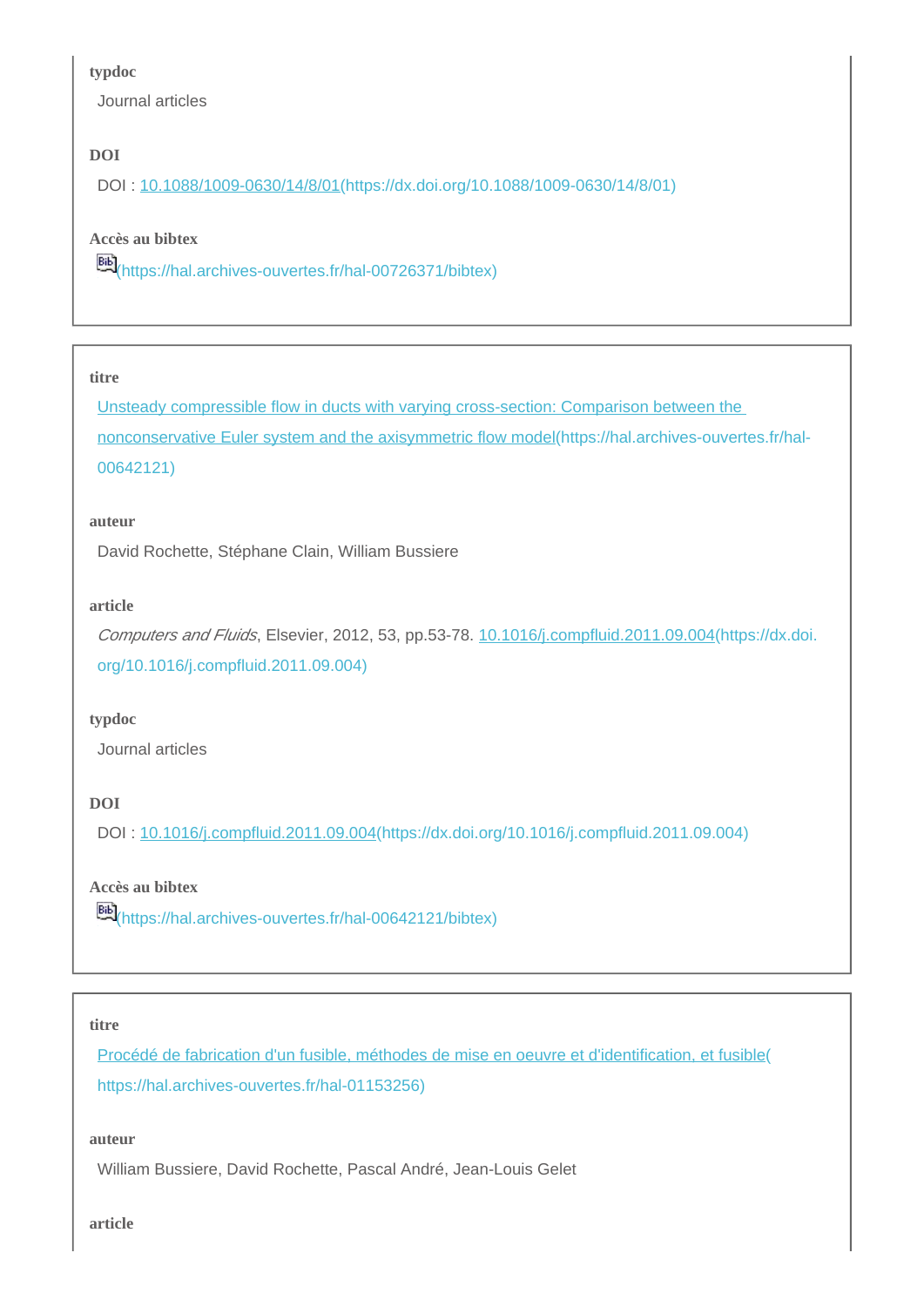#### **typdoc**

Journal articles

## **DOI**

DOI : [10.1088/1009-0630/14/8/01\(https://dx.doi.org/10.1088/1009-0630/14/8/01\)](https://dx.doi.org/10.1088/1009-0630/14/8/01)

## **Accès au bibtex**

[\(https://hal.archives-ouvertes.fr/hal-00726371/bibtex\)](https://hal.archives-ouvertes.fr/hal-00726371/bibtex)

### **titre**

[Unsteady compressible flow in ducts with varying cross-section: Comparison between the](https://hal.archives-ouvertes.fr/hal-00642121)  [nonconservative Euler system and the axisymmetric flow model\(https://hal.archives-ouvertes.fr/hal-](https://hal.archives-ouvertes.fr/hal-00642121)[00642121\)](https://hal.archives-ouvertes.fr/hal-00642121)

#### **auteur**

David Rochette, Stéphane Clain, William Bussiere

## **article**

Computers and Fluids, Elsevier, 2012, 53, pp.53-78. [10.1016/j.compfluid.2011.09.004\(https://dx.doi.](https://dx.doi.org/10.1016/j.compfluid.2011.09.004) [org/10.1016/j.compfluid.2011.09.004\)](https://dx.doi.org/10.1016/j.compfluid.2011.09.004)

## **typdoc**

Journal articles

## **DOI**

DOI : [10.1016/j.compfluid.2011.09.004\(https://dx.doi.org/10.1016/j.compfluid.2011.09.004\)](https://dx.doi.org/10.1016/j.compfluid.2011.09.004)

## **Accès au bibtex**

**EE)**[\(https://hal.archives-ouvertes.fr/hal-00642121/bibtex\)](https://hal.archives-ouvertes.fr/hal-00642121/bibtex)

## **titre**

[Procédé de fabrication d'un fusible, méthodes de mise en oeuvre et d'identification, et fusible\(](https://hal.archives-ouvertes.fr/hal-01153256) [https://hal.archives-ouvertes.fr/hal-01153256\)](https://hal.archives-ouvertes.fr/hal-01153256)

#### **auteur**

William Bussiere, David Rochette, Pascal André, Jean-Louis Gelet

**article**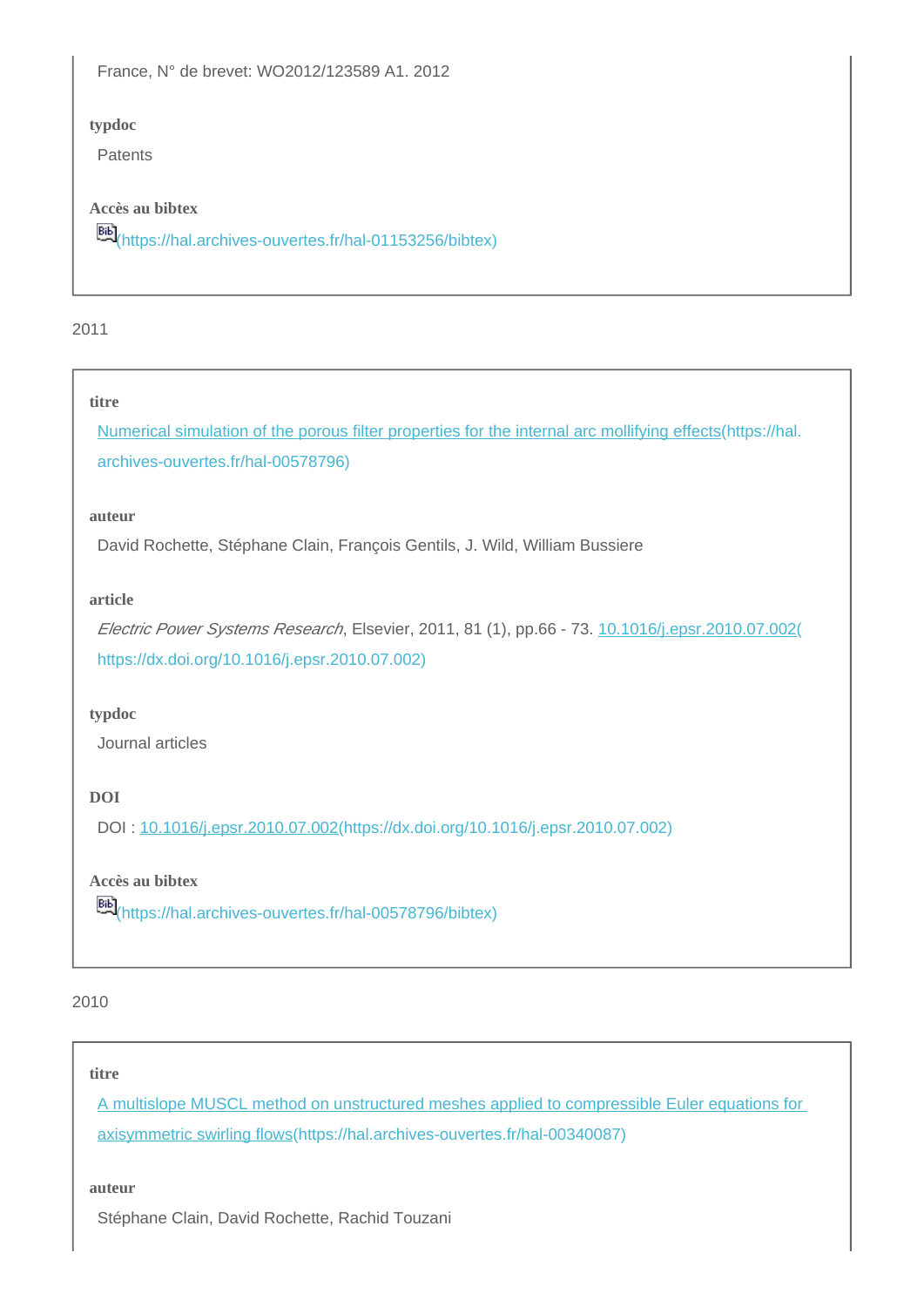France, N° de brevet: WO2012/123589 A1. 2012

## **typdoc**

Patents

## **Accès au bibtex**

[\(https://hal.archives-ouvertes.fr/hal-01153256/bibtex\)](https://hal.archives-ouvertes.fr/hal-01153256/bibtex)

### 2011

#### **titre**

[Numerical simulation of the porous filter properties for the internal arc mollifying effects\(https://hal.](https://hal.archives-ouvertes.fr/hal-00578796) [archives-ouvertes.fr/hal-00578796\)](https://hal.archives-ouvertes.fr/hal-00578796)

#### **auteur**

David Rochette, Stéphane Clain, François Gentils, J. Wild, William Bussiere

#### **article**

Electric Power Systems Research, Elsevier, 2011, 81 (1), pp.66 - 73. [10.1016/j.epsr.2010.07.002\(](https://dx.doi.org/10.1016/j.epsr.2010.07.002) [https://dx.doi.org/10.1016/j.epsr.2010.07.002\)](https://dx.doi.org/10.1016/j.epsr.2010.07.002)

## **typdoc**

Journal articles

## **DOI**

DOI : [10.1016/j.epsr.2010.07.002\(https://dx.doi.org/10.1016/j.epsr.2010.07.002\)](https://dx.doi.org/10.1016/j.epsr.2010.07.002)

## **Accès au bibtex**

**Bib**<sub>[\(https://hal.archives-ouvertes.fr/hal-00578796/bibtex\)](https://hal.archives-ouvertes.fr/hal-00578796/bibtex)</sub>

#### 2010

#### **titre**

[A multislope MUSCL method on unstructured meshes applied to compressible Euler equations for](https://hal.archives-ouvertes.fr/hal-00340087)  [axisymmetric swirling flows\(https://hal.archives-ouvertes.fr/hal-00340087\)](https://hal.archives-ouvertes.fr/hal-00340087)

#### **auteur**

Stéphane Clain, David Rochette, Rachid Touzani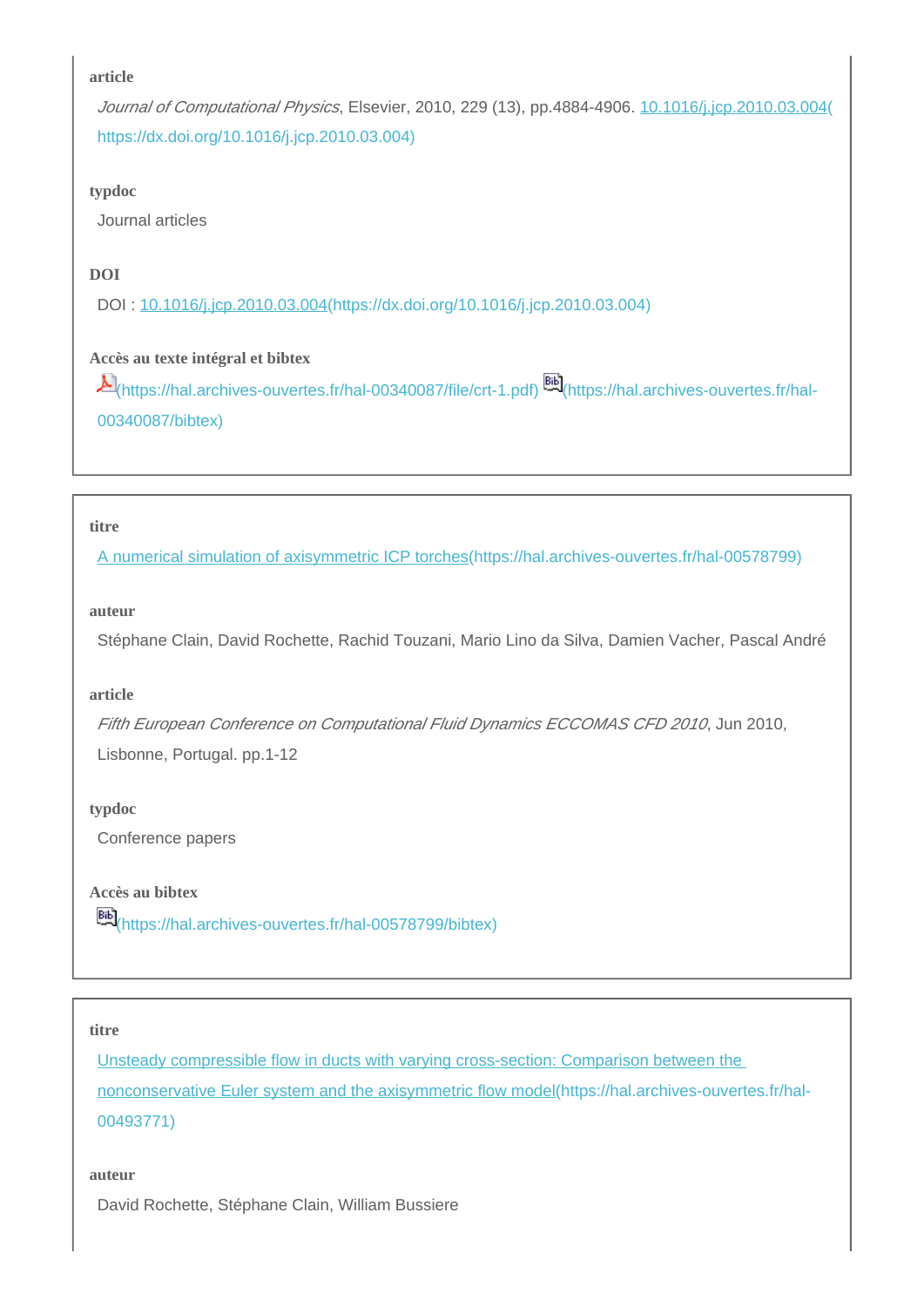Journal of Computational Physics, Elsevier, 2010, 229 (13), pp.4884-4906. [10.1016/j.jcp.2010.03.004\(](https://dx.doi.org/10.1016/j.jcp.2010.03.004) [https://dx.doi.org/10.1016/j.jcp.2010.03.004\)](https://dx.doi.org/10.1016/j.jcp.2010.03.004)

## **typdoc**

Journal articles

## **DOI**

DOI : [10.1016/j.jcp.2010.03.004\(https://dx.doi.org/10.1016/j.jcp.2010.03.004\)](https://dx.doi.org/10.1016/j.jcp.2010.03.004)

## **Accès au texte intégral et bibtex**

[\(https://hal.archives-ouvertes.fr/hal-00340087/file/crt-1.pdf\)](https://hal.archives-ouvertes.fr/hal-00340087/file/crt-1.pdf) [\(https://hal.archives-ouvertes.fr/hal-](https://hal.archives-ouvertes.fr/hal-00340087/bibtex)[00340087/bibtex\)](https://hal.archives-ouvertes.fr/hal-00340087/bibtex)

### **titre**

[A numerical simulation of axisymmetric ICP torches\(https://hal.archives-ouvertes.fr/hal-00578799\)](https://hal.archives-ouvertes.fr/hal-00578799)

### **auteur**

Stéphane Clain, David Rochette, Rachid Touzani, Mario Lino da Silva, Damien Vacher, Pascal André

## **article**

Fifth European Conference on Computational Fluid Dynamics ECCOMAS CFD 2010, Jun 2010, Lisbonne, Portugal. pp.1-12

## **typdoc**

Conference papers

## **Accès au bibtex**

[\(https://hal.archives-ouvertes.fr/hal-00578799/bibtex\)](https://hal.archives-ouvertes.fr/hal-00578799/bibtex)

#### **titre**

[Unsteady compressible flow in ducts with varying cross-section: Comparison between the](https://hal.archives-ouvertes.fr/hal-00493771)  [nonconservative Euler system and the axisymmetric flow model\(https://hal.archives-ouvertes.fr/hal-](https://hal.archives-ouvertes.fr/hal-00493771)[00493771\)](https://hal.archives-ouvertes.fr/hal-00493771)

#### **auteur**

David Rochette, Stéphane Clain, William Bussiere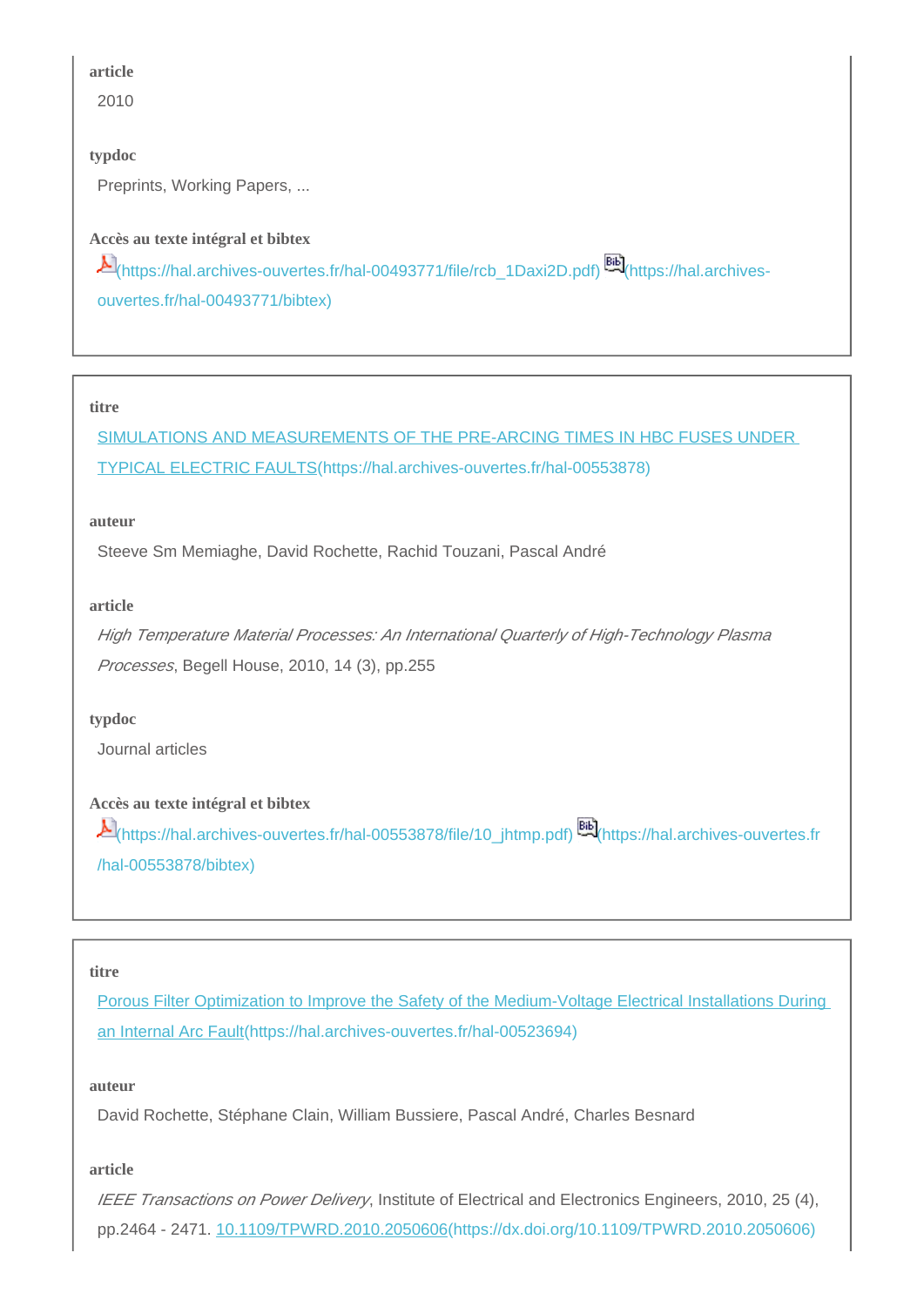2010

## **typdoc**

Preprints, Working Papers, ...

## **Accès au texte intégral et bibtex**

| Alttps://hal.archives-ouvertes.fr/hal-00493771/file/rcb_1Daxi2D.pdf) |  |
|----------------------------------------------------------------------|--|
| ouvertes.fr/hal-00493771/bibtex)                                     |  |

#### **titre**

[SIMULATIONS AND MEASUREMENTS OF THE PRE-ARCING TIMES IN HBC FUSES UNDER](https://hal.archives-ouvertes.fr/hal-00553878)  [TYPICAL ELECTRIC FAULTS\(https://hal.archives-ouvertes.fr/hal-00553878\)](https://hal.archives-ouvertes.fr/hal-00553878)

#### **auteur**

Steeve Sm Memiaghe, David Rochette, Rachid Touzani, Pascal André

## **article**

High Temperature Material Processes: An International Quarterly of High-Technology Plasma Processes, Begell House, 2010, 14 (3), pp.255

## **typdoc**

Journal articles

## **Accès au texte intégral et bibtex**

[\(https://hal.archives-ouvertes.fr/hal-00553878/file/10\\_jhtmp.pdf\)](https://hal.archives-ouvertes.fr/hal-00553878/file/10_jhtmp.pdf) [\(https://hal.archives-ouvertes.fr](https://hal.archives-ouvertes.fr/hal-00553878/bibtex) [/hal-00553878/bibtex\)](https://hal.archives-ouvertes.fr/hal-00553878/bibtex)

## **titre**

[Porous Filter Optimization to Improve the Safety of the Medium-Voltage Electrical Installations During](https://hal.archives-ouvertes.fr/hal-00523694)  [an Internal Arc Fault\(https://hal.archives-ouvertes.fr/hal-00523694\)](https://hal.archives-ouvertes.fr/hal-00523694)

## **auteur**

David Rochette, Stéphane Clain, William Bussiere, Pascal André, Charles Besnard

## **article**

IEEE Transactions on Power Delivery, Institute of Electrical and Electronics Engineers, 2010, 25 (4), pp.2464 - 2471. [10.1109/TPWRD.2010.2050606\(https://dx.doi.org/10.1109/TPWRD.2010.2050606\)](https://dx.doi.org/10.1109/TPWRD.2010.2050606)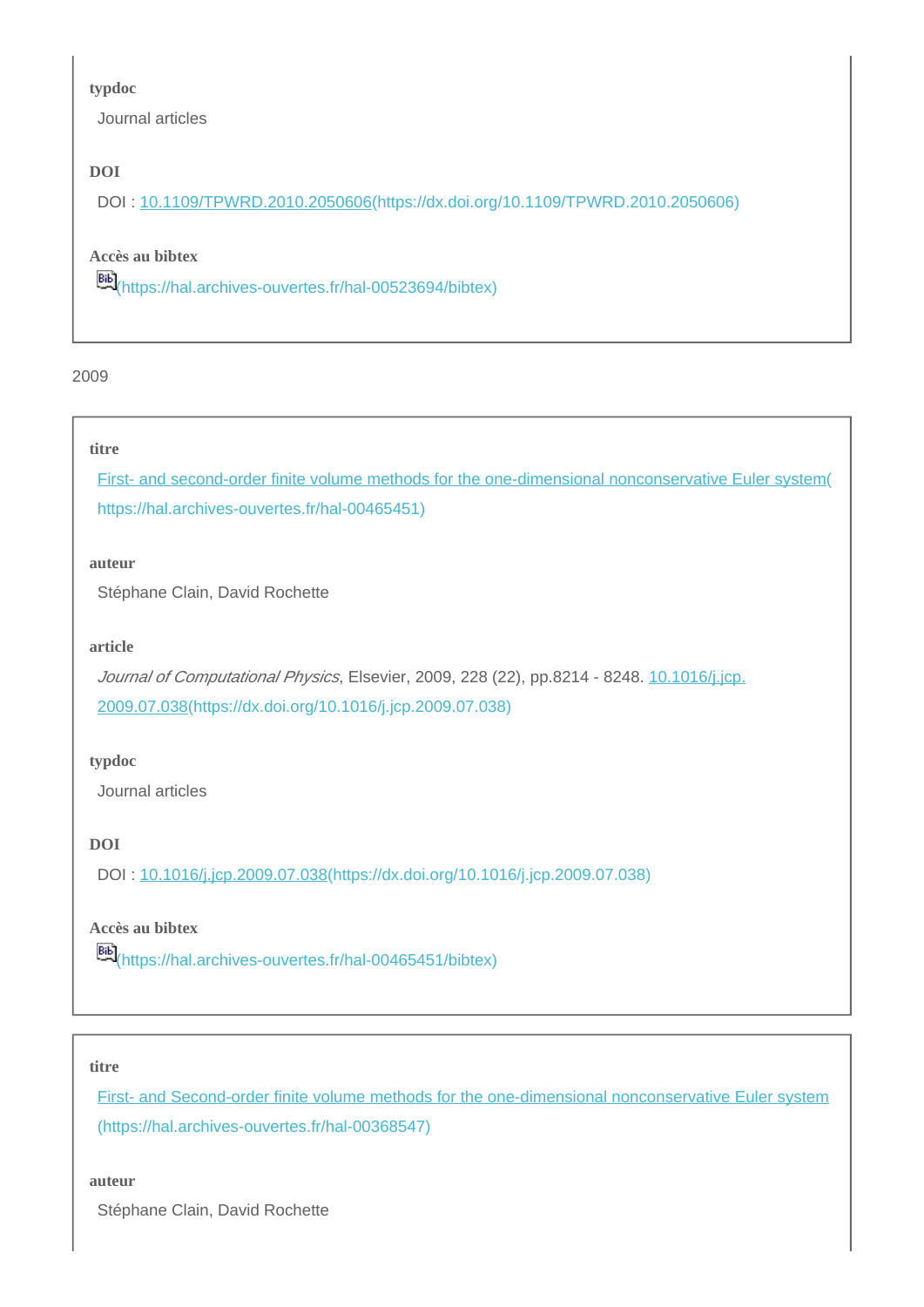#### **typdoc**

Journal articles

## **DOI**

DOI : [10.1109/TPWRD.2010.2050606\(https://dx.doi.org/10.1109/TPWRD.2010.2050606\)](https://dx.doi.org/10.1109/TPWRD.2010.2050606)

## **Accès au bibtex**

[\(https://hal.archives-ouvertes.fr/hal-00523694/bibtex\)](https://hal.archives-ouvertes.fr/hal-00523694/bibtex)

### 2009

### **titre**

[First- and second-order finite volume methods for the one-dimensional nonconservative Euler system\(](https://hal.archives-ouvertes.fr/hal-00465451) [https://hal.archives-ouvertes.fr/hal-00465451\)](https://hal.archives-ouvertes.fr/hal-00465451)

#### **auteur**

Stéphane Clain, David Rochette

#### **article**

Journal of Computational Physics, Elsevier, 2009, 228 (22), pp.8214 - 8248. [10.1016/j.jcp.](https://dx.doi.org/10.1016/j.jcp.2009.07.038) [2009.07.038\(https://dx.doi.org/10.1016/j.jcp.2009.07.038\)](https://dx.doi.org/10.1016/j.jcp.2009.07.038)

## **typdoc**

Journal articles

## **DOI**

DOI : [10.1016/j.jcp.2009.07.038\(https://dx.doi.org/10.1016/j.jcp.2009.07.038\)](https://dx.doi.org/10.1016/j.jcp.2009.07.038)

## **Accès au bibtex**

[\(https://hal.archives-ouvertes.fr/hal-00465451/bibtex\)](https://hal.archives-ouvertes.fr/hal-00465451/bibtex)

#### **titre**

[First- and Second-order finite volume methods for the one-dimensional nonconservative Euler system](https://hal.archives-ouvertes.fr/hal-00368547) [\(https://hal.archives-ouvertes.fr/hal-00368547\)](https://hal.archives-ouvertes.fr/hal-00368547)

#### **auteur**

Stéphane Clain, David Rochette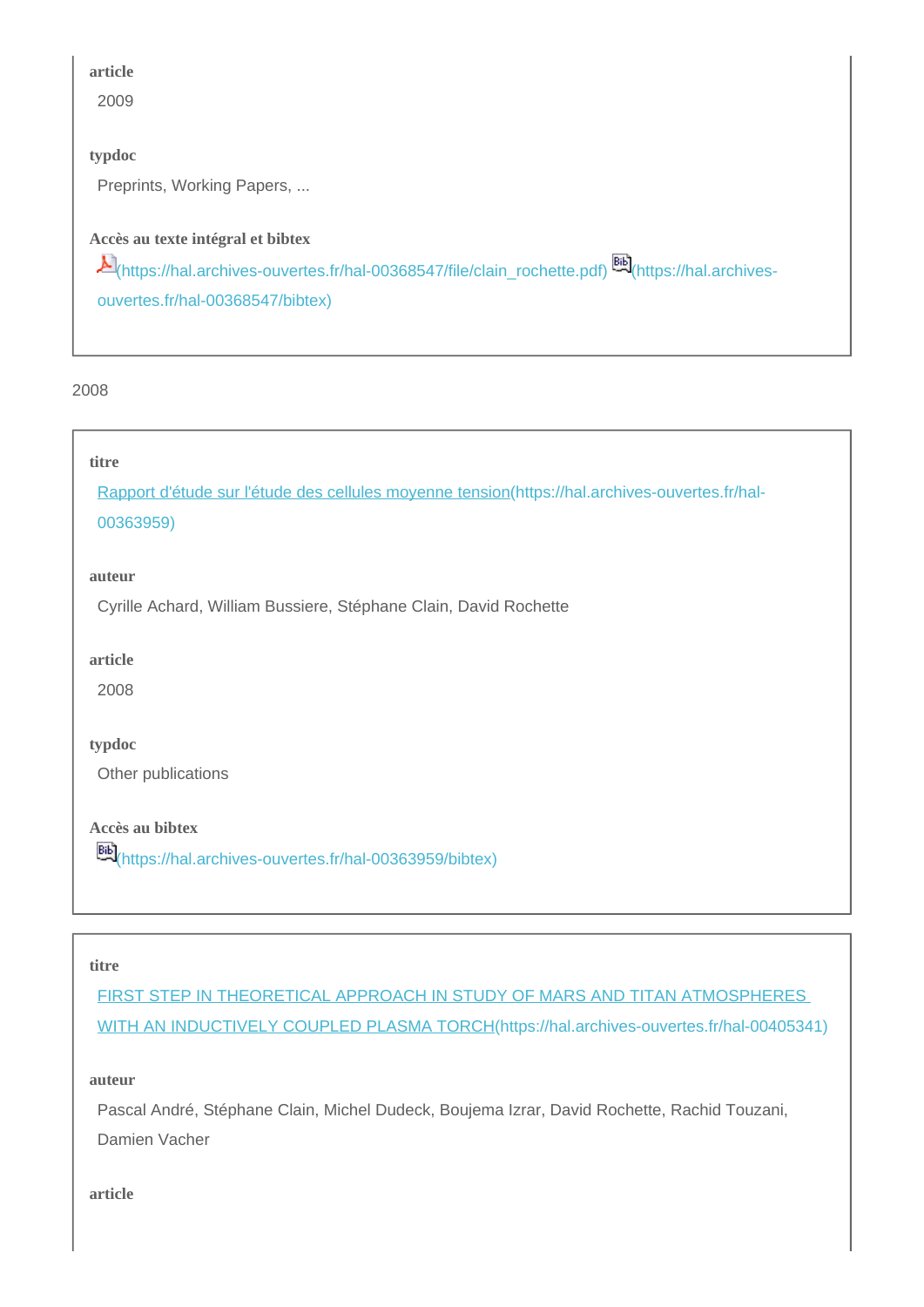2009

## **typdoc**

Preprints, Working Papers, ...

## **Accès au texte intégral et bibtex**

[\(https://hal.archives-ouvertes.fr/hal-00368547/file/clain\\_rochette.pdf\)](https://hal.archives-ouvertes.fr/hal-00368547/file/clain_rochette.pdf) [\(https://hal.archives](https://hal.archives-ouvertes.fr/hal-00368547/bibtex)[ouvertes.fr/hal-00368547/bibtex\)](https://hal.archives-ouvertes.fr/hal-00368547/bibtex)

2008

#### **titre**

[Rapport d'étude sur l'étude des cellules moyenne tension\(https://hal.archives-ouvertes.fr/hal-](https://hal.archives-ouvertes.fr/hal-00363959)[00363959\)](https://hal.archives-ouvertes.fr/hal-00363959)

#### **auteur**

Cyrille Achard, William Bussiere, Stéphane Clain, David Rochette

**article**

2008

#### **typdoc**

Other publications

**Accès au bibtex**

[\(https://hal.archives-ouvertes.fr/hal-00363959/bibtex\)](https://hal.archives-ouvertes.fr/hal-00363959/bibtex)

#### **titre**

[FIRST STEP IN THEORETICAL APPROACH IN STUDY OF MARS AND TITAN ATMOSPHERES](https://hal.archives-ouvertes.fr/hal-00405341)  [WITH AN INDUCTIVELY COUPLED PLASMA TORCH\(https://hal.archives-ouvertes.fr/hal-00405341\)](https://hal.archives-ouvertes.fr/hal-00405341)

#### **auteur**

Pascal André, Stéphane Clain, Michel Dudeck, Boujema Izrar, David Rochette, Rachid Touzani, Damien Vacher

**article**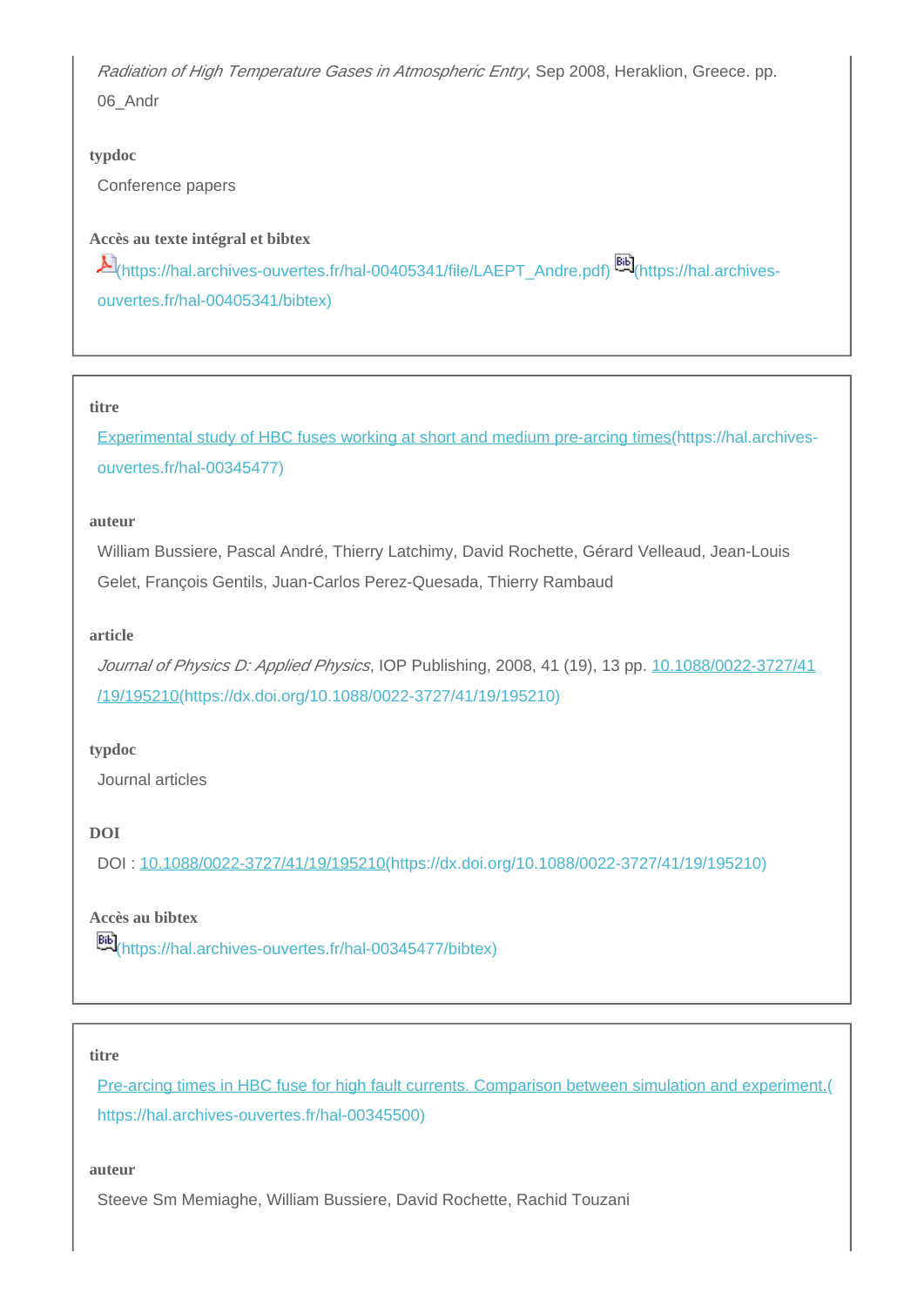Radiation of High Temperature Gases in Atmospheric Entry, Sep 2008, Heraklion, Greece. pp. 06\_Andr

## **typdoc**

Conference papers

## **Accès au texte intégral et bibtex**

[\(https://hal.archives-ouvertes.fr/hal-00405341/file/LAEPT\\_Andre.pdf\)](https://hal.archives-ouvertes.fr/hal-00405341/file/LAEPT_Andre.pdf) [\(https://hal.archives](https://hal.archives-ouvertes.fr/hal-00405341/bibtex)[ouvertes.fr/hal-00405341/bibtex\)](https://hal.archives-ouvertes.fr/hal-00405341/bibtex)

#### **titre**

[Experimental study of HBC fuses working at short and medium pre-arcing times\(https://hal.archives](https://hal.archives-ouvertes.fr/hal-00345477)[ouvertes.fr/hal-00345477\)](https://hal.archives-ouvertes.fr/hal-00345477)

#### **auteur**

William Bussiere, Pascal André, Thierry Latchimy, David Rochette, Gérard Velleaud, Jean-Louis Gelet, François Gentils, Juan-Carlos Perez-Quesada, Thierry Rambaud

#### **article**

Journal of Physics D: Applied Physics, IOP Publishing, 2008, 41 (19), 13 pp. [10.1088/0022-3727/41](https://dx.doi.org/10.1088/0022-3727/41/19/195210) [/19/195210\(https://dx.doi.org/10.1088/0022-3727/41/19/195210\)](https://dx.doi.org/10.1088/0022-3727/41/19/195210)

## **typdoc**

Journal articles

## **DOI**

DOI : [10.1088/0022-3727/41/19/195210\(https://dx.doi.org/10.1088/0022-3727/41/19/195210\)](https://dx.doi.org/10.1088/0022-3727/41/19/195210)

#### **Accès au bibtex**

[\(https://hal.archives-ouvertes.fr/hal-00345477/bibtex\)](https://hal.archives-ouvertes.fr/hal-00345477/bibtex)

#### **titre**

Pre-arcing times in HBC fuse for high fault currents. Comparison between simulation and experiment. [https://hal.archives-ouvertes.fr/hal-00345500\)](https://hal.archives-ouvertes.fr/hal-00345500)

**auteur**

Steeve Sm Memiaghe, William Bussiere, David Rochette, Rachid Touzani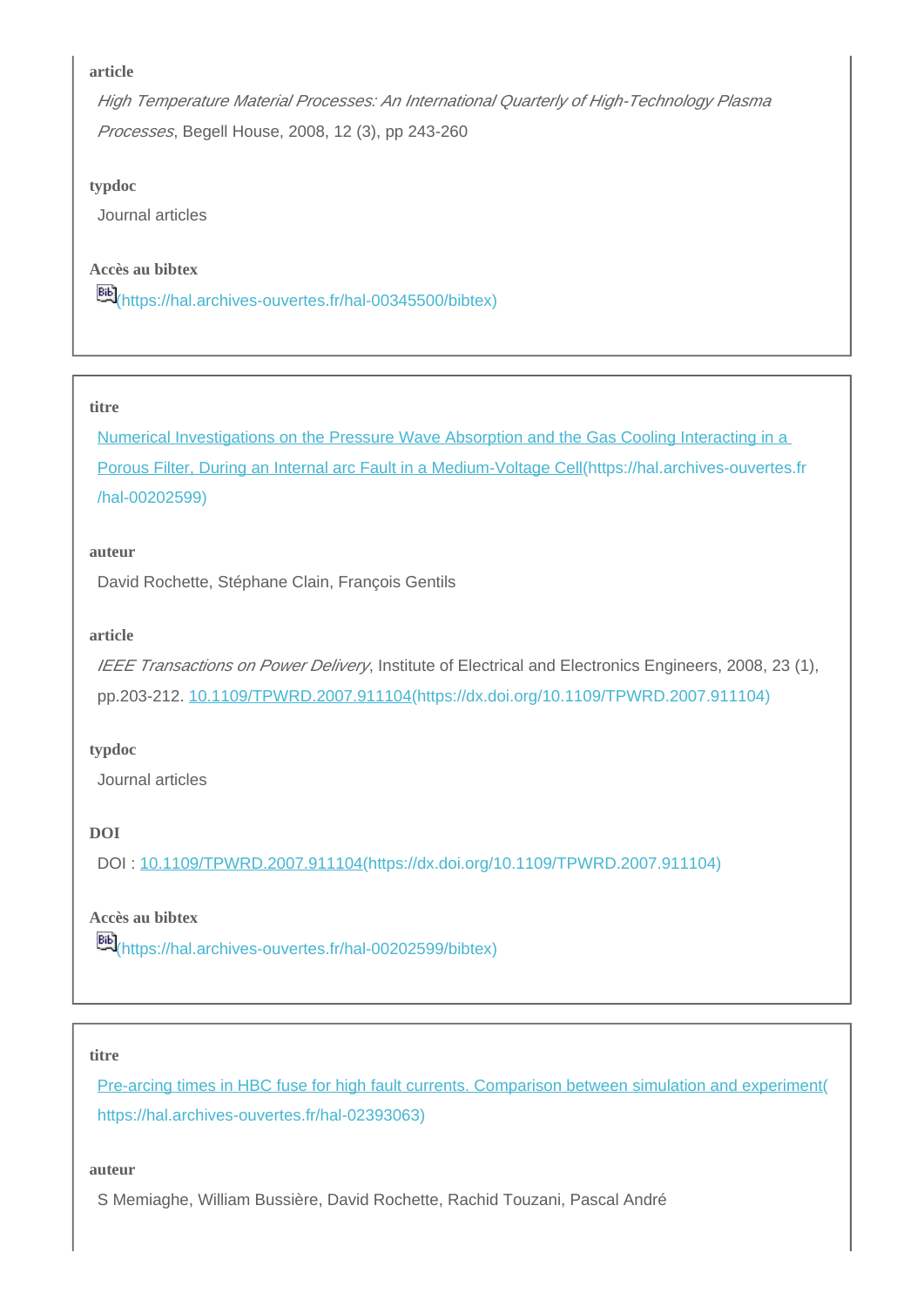High Temperature Material Processes: An International Quarterly of High-Technology Plasma Processes, Begell House, 2008, 12 (3), pp 243-260

#### **typdoc**

Journal articles

## **Accès au bibtex**

[\(https://hal.archives-ouvertes.fr/hal-00345500/bibtex\)](https://hal.archives-ouvertes.fr/hal-00345500/bibtex)

#### **titre**

[Numerical Investigations on the Pressure Wave Absorption and the Gas Cooling Interacting in a](https://hal.archives-ouvertes.fr/hal-00202599)  [Porous Filter, During an Internal arc Fault in a Medium-Voltage Cell\(https://hal.archives-ouvertes.fr](https://hal.archives-ouvertes.fr/hal-00202599) [/hal-00202599\)](https://hal.archives-ouvertes.fr/hal-00202599)

#### **auteur**

David Rochette, Stéphane Clain, François Gentils

#### **article**

IEEE Transactions on Power Delivery, Institute of Electrical and Electronics Engineers, 2008, 23 (1), pp.203-212. [10.1109/TPWRD.2007.911104\(https://dx.doi.org/10.1109/TPWRD.2007.911104\)](https://dx.doi.org/10.1109/TPWRD.2007.911104)

## **typdoc**

Journal articles

## **DOI**

DOI : [10.1109/TPWRD.2007.911104\(https://dx.doi.org/10.1109/TPWRD.2007.911104\)](https://dx.doi.org/10.1109/TPWRD.2007.911104)

#### **Accès au bibtex**

[\(https://hal.archives-ouvertes.fr/hal-00202599/bibtex\)](https://hal.archives-ouvertes.fr/hal-00202599/bibtex)

#### **titre**

[Pre-arcing times in HBC fuse for high fault currents. Comparison between simulation and experiment\(](https://hal.archives-ouvertes.fr/hal-02393063) [https://hal.archives-ouvertes.fr/hal-02393063\)](https://hal.archives-ouvertes.fr/hal-02393063)

#### **auteur**

S Memiaghe, William Bussière, David Rochette, Rachid Touzani, Pascal André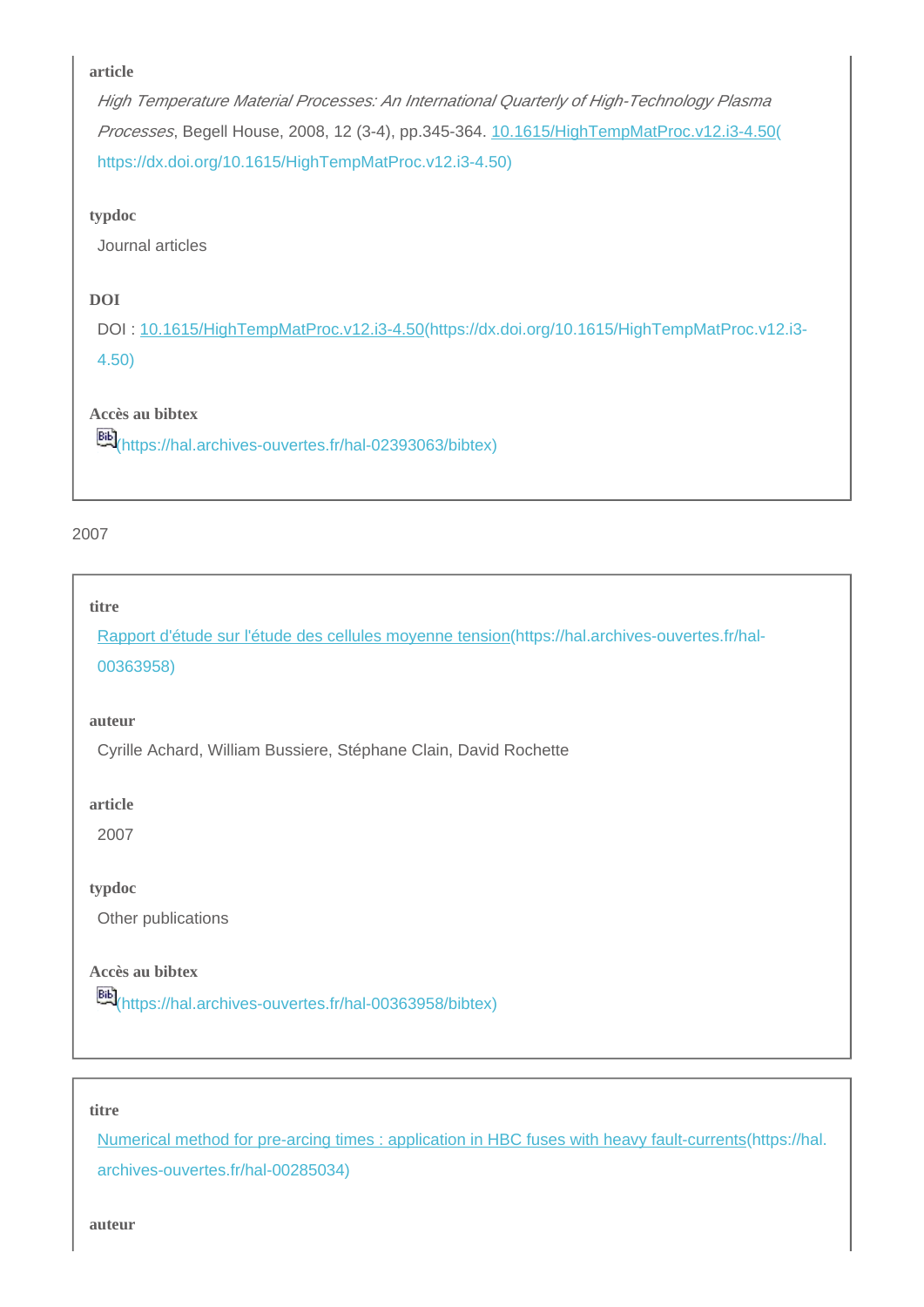High Temperature Material Processes: An International Quarterly of High-Technology Plasma Processes, Begell House, 2008, 12 (3-4), pp.345-364. [10.1615/HighTempMatProc.v12.i3-4.50\(](https://dx.doi.org/10.1615/HighTempMatProc.v12.i3-4.50) [https://dx.doi.org/10.1615/HighTempMatProc.v12.i3-4.50\)](https://dx.doi.org/10.1615/HighTempMatProc.v12.i3-4.50)

## **typdoc**

Journal articles

## **DOI**

DOI : [10.1615/HighTempMatProc.v12.i3-4.50\(https://dx.doi.org/10.1615/HighTempMatProc.v12.i3-](https://dx.doi.org/10.1615/HighTempMatProc.v12.i3-4.50) [4.50\)](https://dx.doi.org/10.1615/HighTempMatProc.v12.i3-4.50)

## **Accès au bibtex**

[\(https://hal.archives-ouvertes.fr/hal-02393063/bibtex\)](https://hal.archives-ouvertes.fr/hal-02393063/bibtex)

## 2007

## **titre**

[Rapport d'étude sur l'étude des cellules moyenne tension\(https://hal.archives-ouvertes.fr/hal-](https://hal.archives-ouvertes.fr/hal-00363958)[00363958\)](https://hal.archives-ouvertes.fr/hal-00363958)

#### **auteur**

Cyrille Achard, William Bussiere, Stéphane Clain, David Rochette

#### **article**

2007

#### **typdoc**

Other publications

## **Accès au bibtex**

[\(https://hal.archives-ouvertes.fr/hal-00363958/bibtex\)](https://hal.archives-ouvertes.fr/hal-00363958/bibtex)

#### **titre**

[Numerical method for pre-arcing times : application in HBC fuses with heavy fault-currents\(https://hal.](https://hal.archives-ouvertes.fr/hal-00285034) [archives-ouvertes.fr/hal-00285034\)](https://hal.archives-ouvertes.fr/hal-00285034)

**auteur**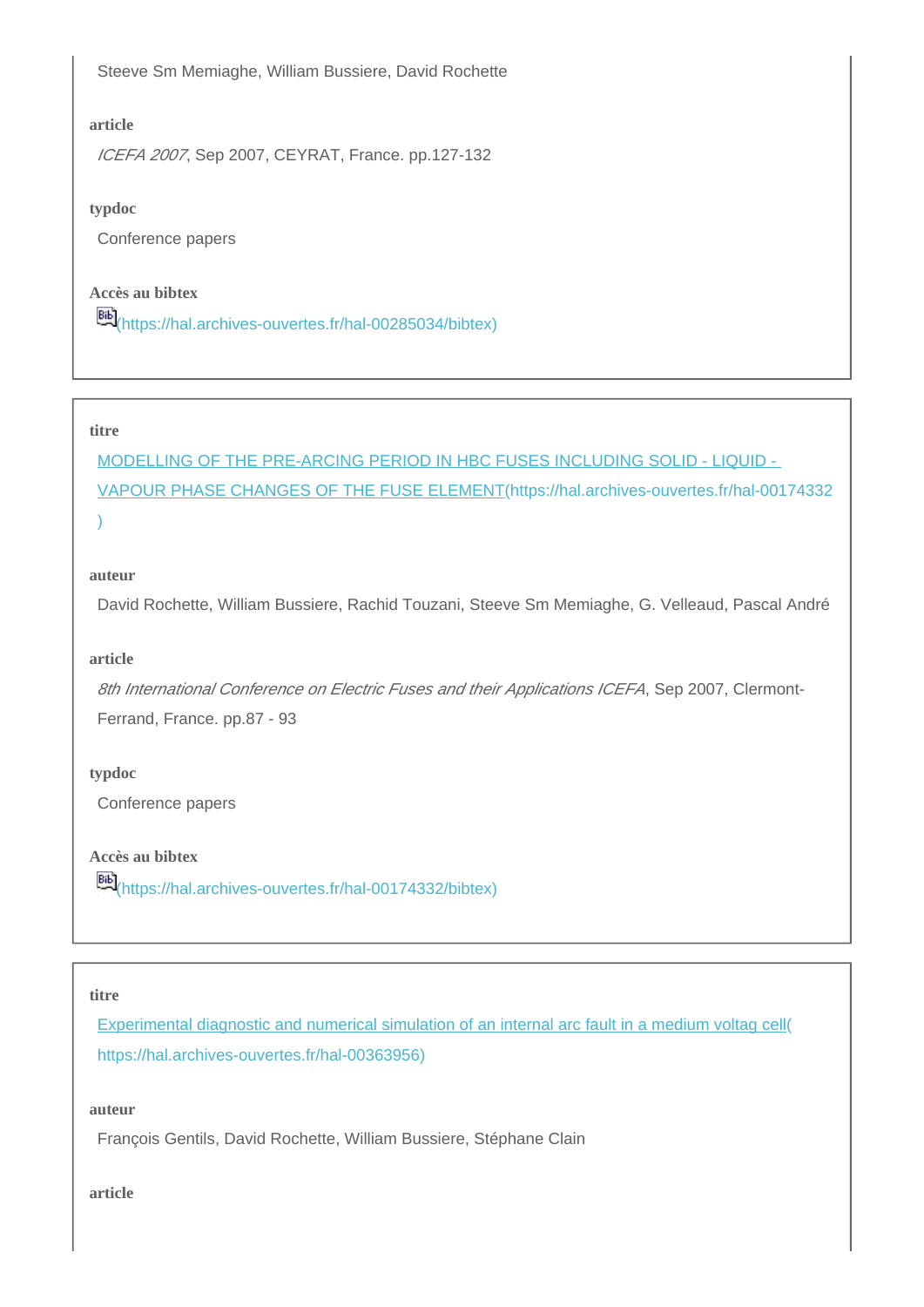Steeve Sm Memiaghe, William Bussiere, David Rochette

## **article**

ICEFA 2007, Sep 2007, CEYRAT, France. pp.127-132

#### **typdoc**

Conference papers

#### **Accès au bibtex**

[\(https://hal.archives-ouvertes.fr/hal-00285034/bibtex\)](https://hal.archives-ouvertes.fr/hal-00285034/bibtex)

#### **titre**

[MODELLING OF THE PRE-ARCING PERIOD IN HBC FUSES INCLUDING SOLID - LIQUID -](https://hal.archives-ouvertes.fr/hal-00174332)  [VAPOUR PHASE CHANGES OF THE FUSE ELEMENT\(https://hal.archives-ouvertes.fr/hal-00174332](https://hal.archives-ouvertes.fr/hal-00174332) [\)](https://hal.archives-ouvertes.fr/hal-00174332)

#### **auteur**

David Rochette, William Bussiere, Rachid Touzani, Steeve Sm Memiaghe, G. Velleaud, Pascal André

#### **article**

8th International Conference on Electric Fuses and their Applications ICEFA, Sep 2007, Clermont-Ferrand, France. pp.87 - 93

#### **typdoc**

Conference papers

**Accès au bibtex**

[66]<br>[\(https://hal.archives-ouvertes.fr/hal-00174332/bibtex\)](https://hal.archives-ouvertes.fr/hal-00174332/bibtex)

#### **titre**

[Experimental diagnostic and numerical simulation of an internal arc fault in a medium voltag cell\(](https://hal.archives-ouvertes.fr/hal-00363956) [https://hal.archives-ouvertes.fr/hal-00363956\)](https://hal.archives-ouvertes.fr/hal-00363956)

#### **auteur**

François Gentils, David Rochette, William Bussiere, Stéphane Clain

**article**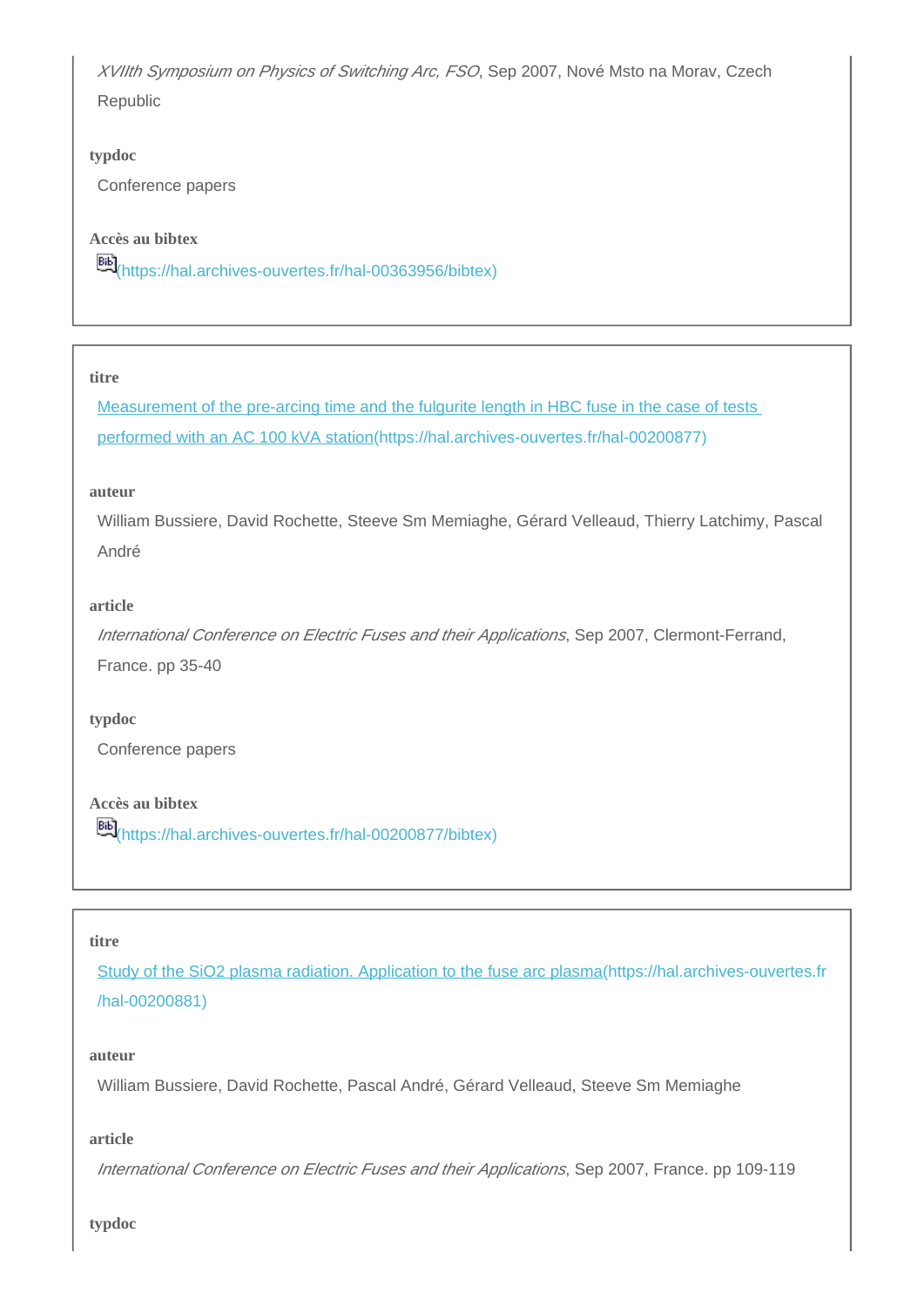XVIIth Symposium on Physics of Switching Arc, FSO, Sep 2007, Nové Msto na Morav, Czech Republic

#### **typdoc**

Conference papers

#### **Accès au bibtex**

[\(https://hal.archives-ouvertes.fr/hal-00363956/bibtex\)](https://hal.archives-ouvertes.fr/hal-00363956/bibtex)

#### **titre**

Measurement of the pre-arcing time and the fulgurite length in HBC fuse in the case of tests [performed with an AC 100 kVA station\(https://hal.archives-ouvertes.fr/hal-00200877\)](https://hal.archives-ouvertes.fr/hal-00200877)

#### **auteur**

William Bussiere, David Rochette, Steeve Sm Memiaghe, Gérard Velleaud, Thierry Latchimy, Pascal André

#### **article**

International Conference on Electric Fuses and their Applications, Sep 2007, Clermont-Ferrand, France. pp 35-40

#### **typdoc**

Conference papers

## **Accès au bibtex**

[\(https://hal.archives-ouvertes.fr/hal-00200877/bibtex\)](https://hal.archives-ouvertes.fr/hal-00200877/bibtex)

#### **titre**

[Study of the SiO2 plasma radiation. Application to the fuse arc plasma\(https://hal.archives-ouvertes.fr](https://hal.archives-ouvertes.fr/hal-00200881) [/hal-00200881\)](https://hal.archives-ouvertes.fr/hal-00200881)

#### **auteur**

William Bussiere, David Rochette, Pascal André, Gérard Velleaud, Steeve Sm Memiaghe

#### **article**

International Conference on Electric Fuses and their Applications, Sep 2007, France. pp 109-119

**typdoc**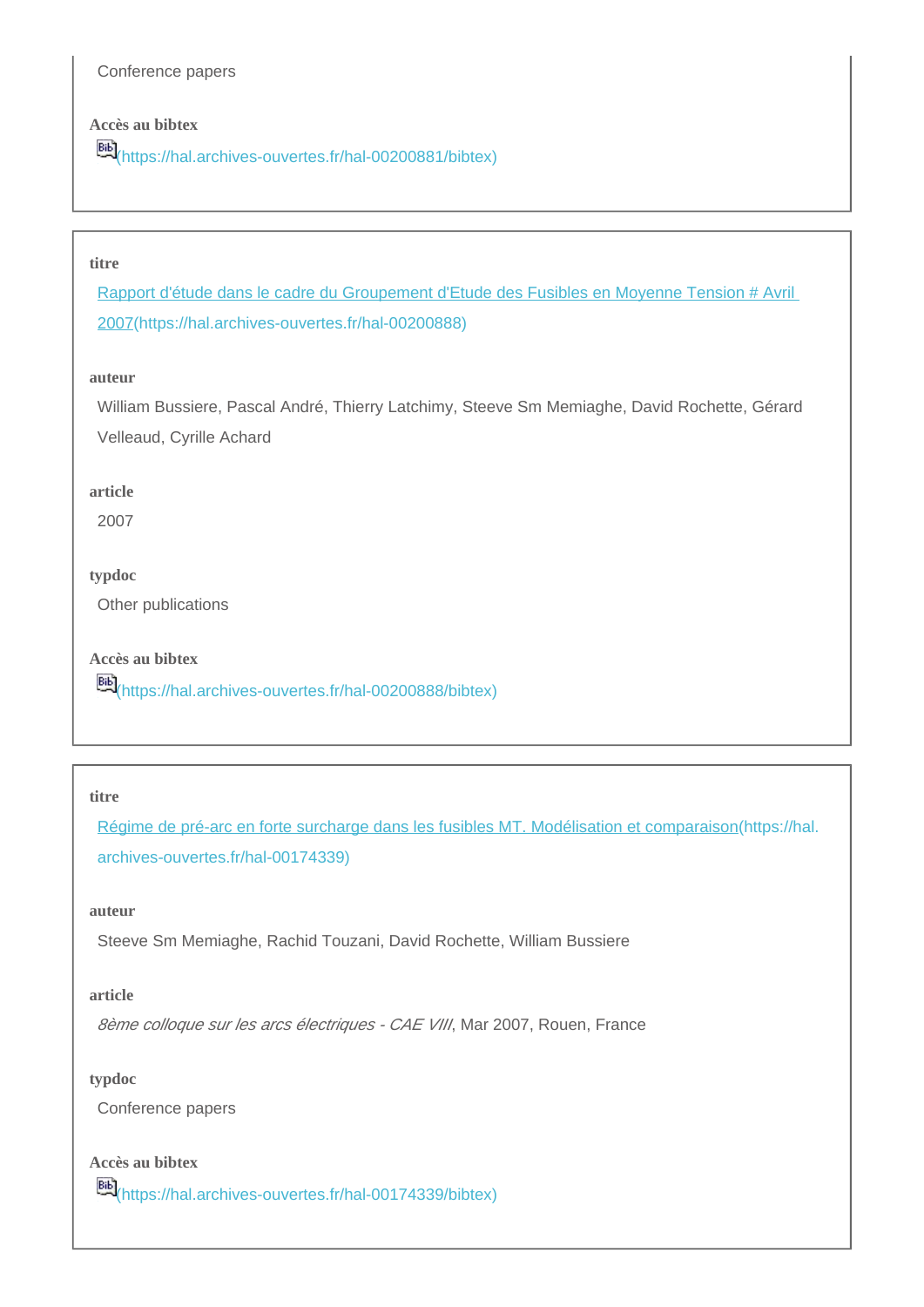Conference papers

## **Accès au bibtex**

[\(https://hal.archives-ouvertes.fr/hal-00200881/bibtex\)](https://hal.archives-ouvertes.fr/hal-00200881/bibtex)

## **titre**

[Rapport d'étude dans le cadre du Groupement d'Etude des Fusibles en Moyenne Tension # Avril](https://hal.archives-ouvertes.fr/hal-00200888)  [2007\(https://hal.archives-ouvertes.fr/hal-00200888\)](https://hal.archives-ouvertes.fr/hal-00200888)

#### **auteur**

William Bussiere, Pascal André, Thierry Latchimy, Steeve Sm Memiaghe, David Rochette, Gérard Velleaud, Cyrille Achard

#### **article**

2007

#### **typdoc**

Other publications

**Accès au bibtex**

**Bib**<sub>[\(https://hal.archives-ouvertes.fr/hal-00200888/bibtex\)](https://hal.archives-ouvertes.fr/hal-00200888/bibtex)</sub>

#### **titre**

[Régime de pré-arc en forte surcharge dans les fusibles MT. Modélisation et comparaison\(https://hal.](https://hal.archives-ouvertes.fr/hal-00174339) [archives-ouvertes.fr/hal-00174339\)](https://hal.archives-ouvertes.fr/hal-00174339)

## **auteur**

Steeve Sm Memiaghe, Rachid Touzani, David Rochette, William Bussiere

## **article**

8ème colloque sur les arcs électriques - CAE VIII, Mar 2007, Rouen, France

## **typdoc**

Conference papers

## **Accès au bibtex**

[\(https://hal.archives-ouvertes.fr/hal-00174339/bibtex\)](https://hal.archives-ouvertes.fr/hal-00174339/bibtex)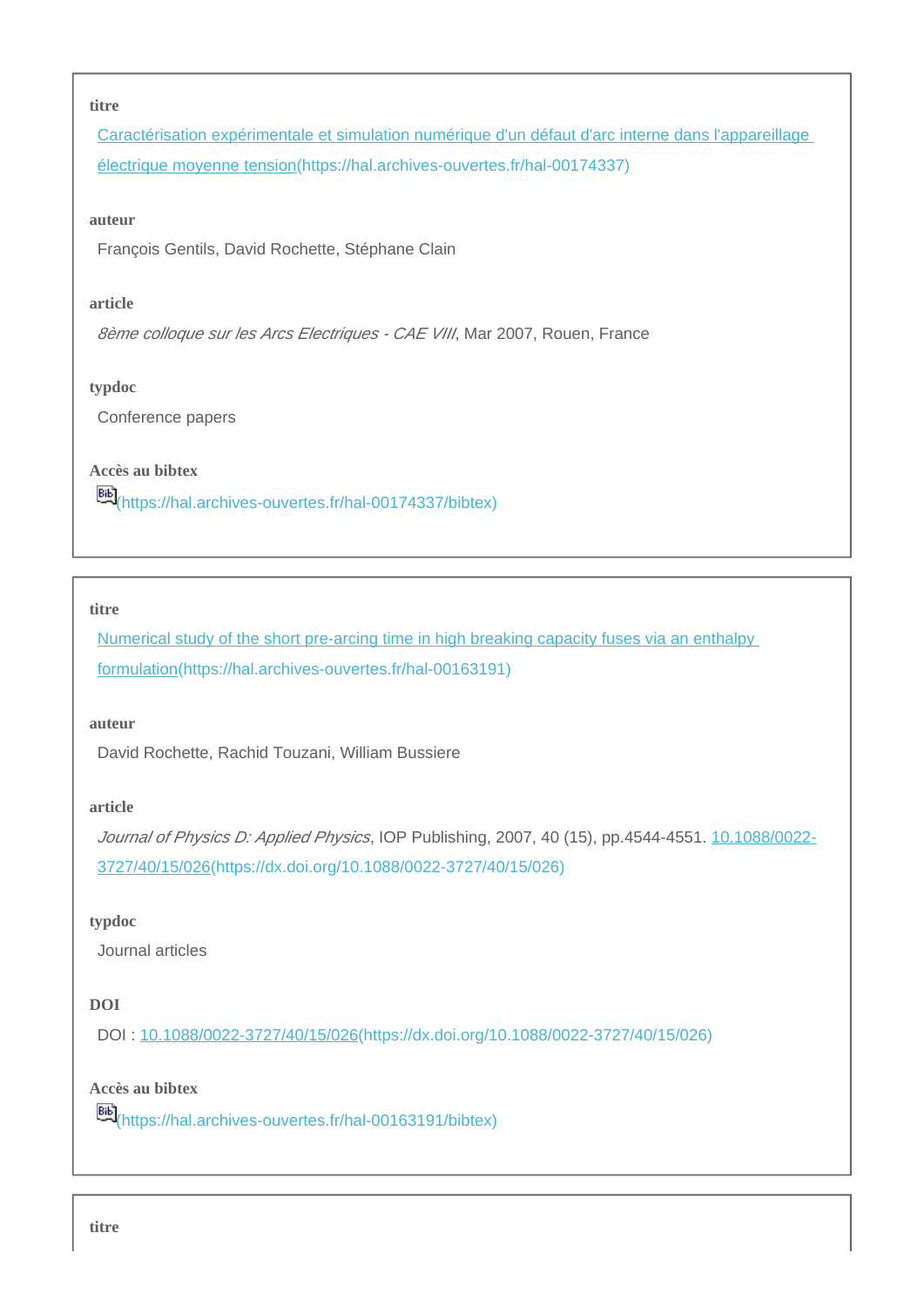#### **titre**

[Caractérisation expérimentale et simulation numérique d'un défaut d'arc interne dans l'appareillage](https://hal.archives-ouvertes.fr/hal-00174337)  [électrique moyenne tension\(https://hal.archives-ouvertes.fr/hal-00174337\)](https://hal.archives-ouvertes.fr/hal-00174337)

#### **auteur**

François Gentils, David Rochette, Stéphane Clain

#### **article**

8ème colloque sur les Arcs Electriques - CAE VIII, Mar 2007, Rouen, France

#### **typdoc**

Conference papers

## **Accès au bibtex**

**Bib**<sub>[\(https://hal.archives-ouvertes.fr/hal-00174337/bibtex\)](https://hal.archives-ouvertes.fr/hal-00174337/bibtex)</sub>

#### **titre**

Numerical study of the short pre-arcing time in high breaking capacity fuses via an enthalpy [formulation\(https://hal.archives-ouvertes.fr/hal-00163191\)](https://hal.archives-ouvertes.fr/hal-00163191)

#### **auteur**

David Rochette, Rachid Touzani, William Bussiere

#### **article**

Journal of Physics D: Applied Physics, IOP Publishing, 2007, 40 (15), pp.4544-4551. [10.1088/0022-](https://dx.doi.org/10.1088/0022-3727/40/15/026) [3727/40/15/026\(https://dx.doi.org/10.1088/0022-3727/40/15/026\)](https://dx.doi.org/10.1088/0022-3727/40/15/026)

#### **typdoc**

Journal articles

## **DOI**

DOI : [10.1088/0022-3727/40/15/026\(https://dx.doi.org/10.1088/0022-3727/40/15/026\)](https://dx.doi.org/10.1088/0022-3727/40/15/026)

## **Accès au bibtex**

[\(https://hal.archives-ouvertes.fr/hal-00163191/bibtex\)](https://hal.archives-ouvertes.fr/hal-00163191/bibtex)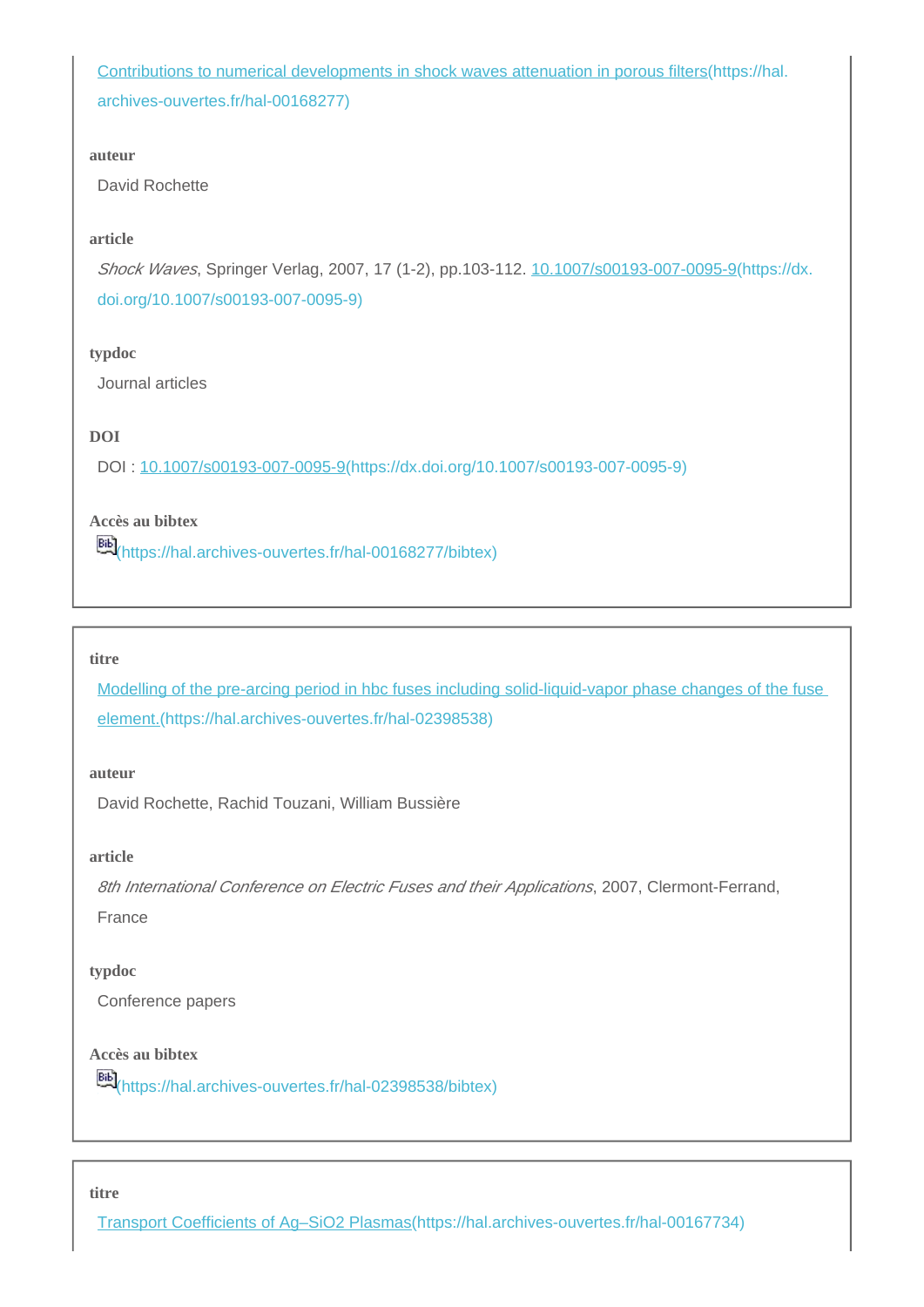[Contributions to numerical developments in shock waves attenuation in porous filters\(https://hal.](https://hal.archives-ouvertes.fr/hal-00168277) [archives-ouvertes.fr/hal-00168277\)](https://hal.archives-ouvertes.fr/hal-00168277)

#### **auteur**

David Rochette

## **article**

Shock Waves, Springer Verlag, 2007, 17 (1-2), pp.103-112. [10.1007/s00193-007-0095-9\(https://dx.](https://dx.doi.org/10.1007/s00193-007-0095-9) [doi.org/10.1007/s00193-007-0095-9\)](https://dx.doi.org/10.1007/s00193-007-0095-9)

### **typdoc**

Journal articles

## **DOI**

DOI : [10.1007/s00193-007-0095-9\(https://dx.doi.org/10.1007/s00193-007-0095-9\)](https://dx.doi.org/10.1007/s00193-007-0095-9)

## **Accès au bibtex**

[66]<br>[\(https://hal.archives-ouvertes.fr/hal-00168277/bibtex\)](https://hal.archives-ouvertes.fr/hal-00168277/bibtex)

#### **titre**

[Modelling of the pre-arcing period in hbc fuses including solid-liquid-vapor phase changes of the fuse](https://hal.archives-ouvertes.fr/hal-02398538)  [element.\(https://hal.archives-ouvertes.fr/hal-02398538\)](https://hal.archives-ouvertes.fr/hal-02398538)

## **auteur**

David Rochette, Rachid Touzani, William Bussière

#### **article**

8th International Conference on Electric Fuses and their Applications, 2007, Clermont-Ferrand, France

#### **typdoc**

Conference papers

## **Accès au bibtex**

[\(https://hal.archives-ouvertes.fr/hal-02398538/bibtex\)](https://hal.archives-ouvertes.fr/hal-02398538/bibtex)

#### **titre**

[Transport Coefficients of Ag–SiO2 Plasmas\(https://hal.archives-ouvertes.fr/hal-00167734\)](https://hal.archives-ouvertes.fr/hal-00167734)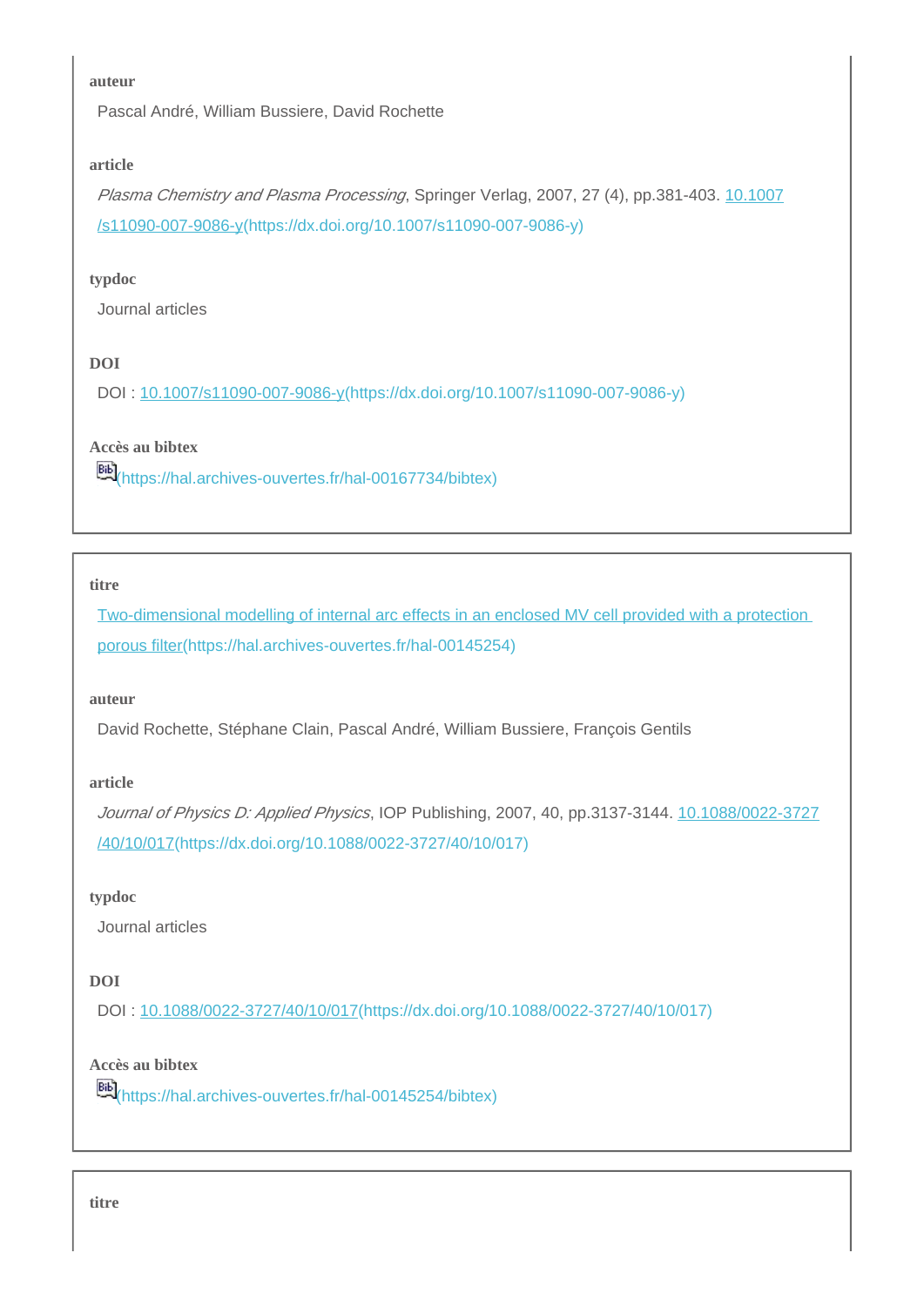#### **auteur**

Pascal André, William Bussiere, David Rochette

## **article**

Plasma Chemistry and Plasma Processing, Springer Verlag, 2007, 27 (4), pp.381-403. [10.1007](https://dx.doi.org/10.1007/s11090-007-9086-y) [/s11090-007-9086-y\(https://dx.doi.org/10.1007/s11090-007-9086-y\)](https://dx.doi.org/10.1007/s11090-007-9086-y)

#### **typdoc**

Journal articles

## **DOI**

DOI : [10.1007/s11090-007-9086-y\(https://dx.doi.org/10.1007/s11090-007-9086-y\)](https://dx.doi.org/10.1007/s11090-007-9086-y)

### **Accès au bibtex**

[\(https://hal.archives-ouvertes.fr/hal-00167734/bibtex\)](https://hal.archives-ouvertes.fr/hal-00167734/bibtex)

#### **titre**

[Two-dimensional modelling of internal arc effects in an enclosed MV cell provided with a protection](https://hal.archives-ouvertes.fr/hal-00145254)  [porous filter\(https://hal.archives-ouvertes.fr/hal-00145254\)](https://hal.archives-ouvertes.fr/hal-00145254)

#### **auteur**

David Rochette, Stéphane Clain, Pascal André, William Bussiere, François Gentils

#### **article**

Journal of Physics D: Applied Physics, IOP Publishing, 2007, 40, pp.3137-3144. [10.1088/0022-3727](https://dx.doi.org/10.1088/0022-3727/40/10/017) [/40/10/017\(https://dx.doi.org/10.1088/0022-3727/40/10/017\)](https://dx.doi.org/10.1088/0022-3727/40/10/017)

#### **typdoc**

Journal articles

## **DOI**

DOI : [10.1088/0022-3727/40/10/017\(https://dx.doi.org/10.1088/0022-3727/40/10/017\)](https://dx.doi.org/10.1088/0022-3727/40/10/017)

## **Accès au bibtex**

[66]<br>[\(https://hal.archives-ouvertes.fr/hal-00145254/bibtex\)](https://hal.archives-ouvertes.fr/hal-00145254/bibtex)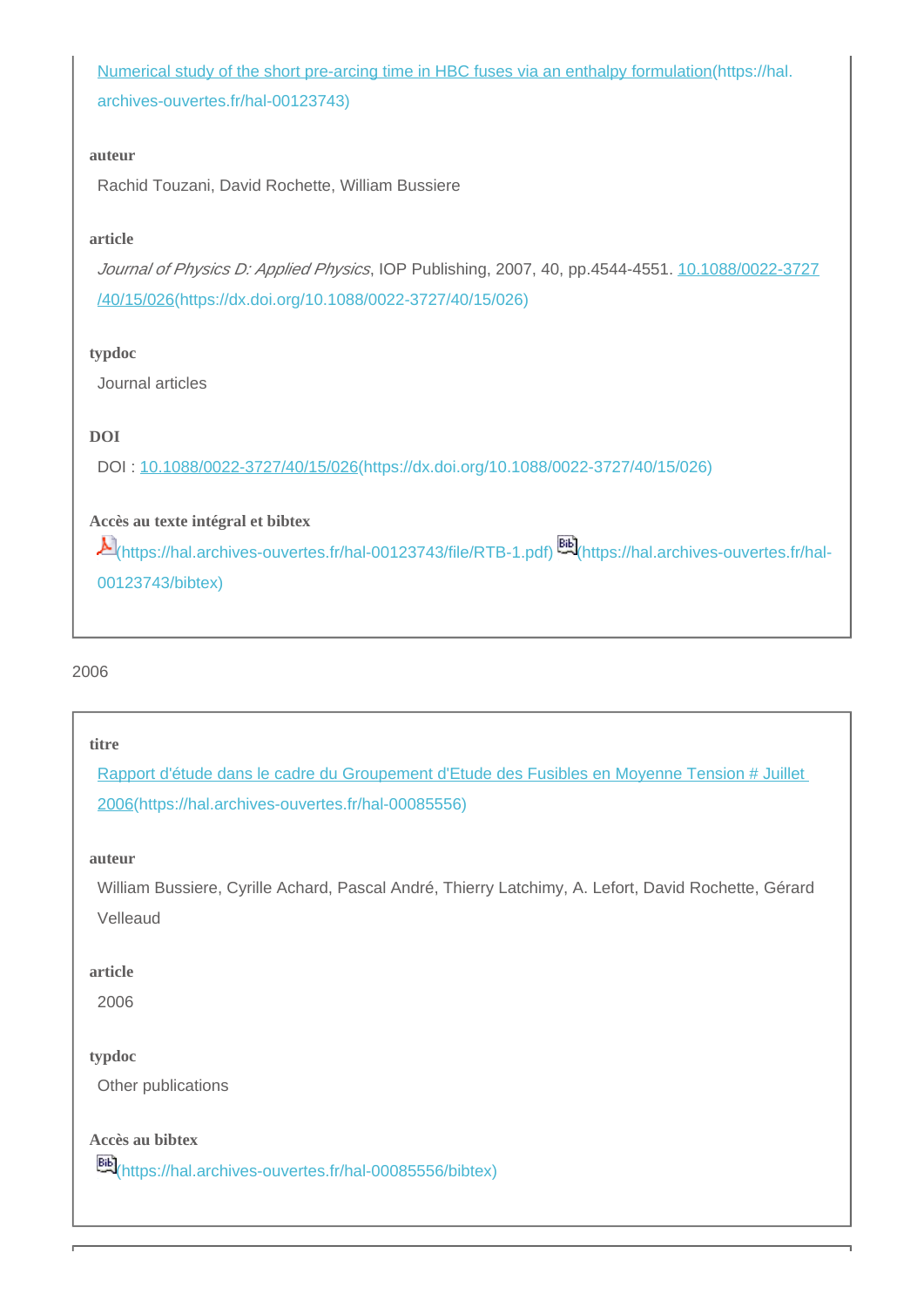[Numerical study of the short pre-arcing time in HBC fuses via an enthalpy formulation\(https://hal.](https://hal.archives-ouvertes.fr/hal-00123743) [archives-ouvertes.fr/hal-00123743\)](https://hal.archives-ouvertes.fr/hal-00123743)

#### **auteur**

Rachid Touzani, David Rochette, William Bussiere

### **article**

Journal of Physics D: Applied Physics, IOP Publishing, 2007, 40, pp.4544-4551. [10.1088/0022-3727](https://dx.doi.org/10.1088/0022-3727/40/15/026) [/40/15/026\(https://dx.doi.org/10.1088/0022-3727/40/15/026\)](https://dx.doi.org/10.1088/0022-3727/40/15/026)

#### **typdoc**

Journal articles

## **DOI**

DOI : [10.1088/0022-3727/40/15/026\(https://dx.doi.org/10.1088/0022-3727/40/15/026\)](https://dx.doi.org/10.1088/0022-3727/40/15/026)

## **Accès au texte intégral et bibtex**

[\(https://hal.archives-ouvertes.fr/hal-00123743/file/RTB-1.pdf\)](https://hal.archives-ouvertes.fr/hal-00123743/file/RTB-1.pdf) [\(https://hal.archives-ouvertes.fr/hal-](https://hal.archives-ouvertes.fr/hal-00123743/bibtex)[00123743/bibtex\)](https://hal.archives-ouvertes.fr/hal-00123743/bibtex)

## 2006

#### **titre**

[Rapport d'étude dans le cadre du Groupement d'Etude des Fusibles en Moyenne Tension # Juillet](https://hal.archives-ouvertes.fr/hal-00085556)  [2006\(https://hal.archives-ouvertes.fr/hal-00085556\)](https://hal.archives-ouvertes.fr/hal-00085556)

#### **auteur**

William Bussiere, Cyrille Achard, Pascal André, Thierry Latchimy, A. Lefort, David Rochette, Gérard Velleaud

#### **article**

2006

#### **typdoc**

Other publications

**Accès au bibtex**

**EE**<sup>[\(https://hal.archives-ouvertes.fr/hal-00085556/bibtex\)](https://hal.archives-ouvertes.fr/hal-00085556/bibtex)</sup>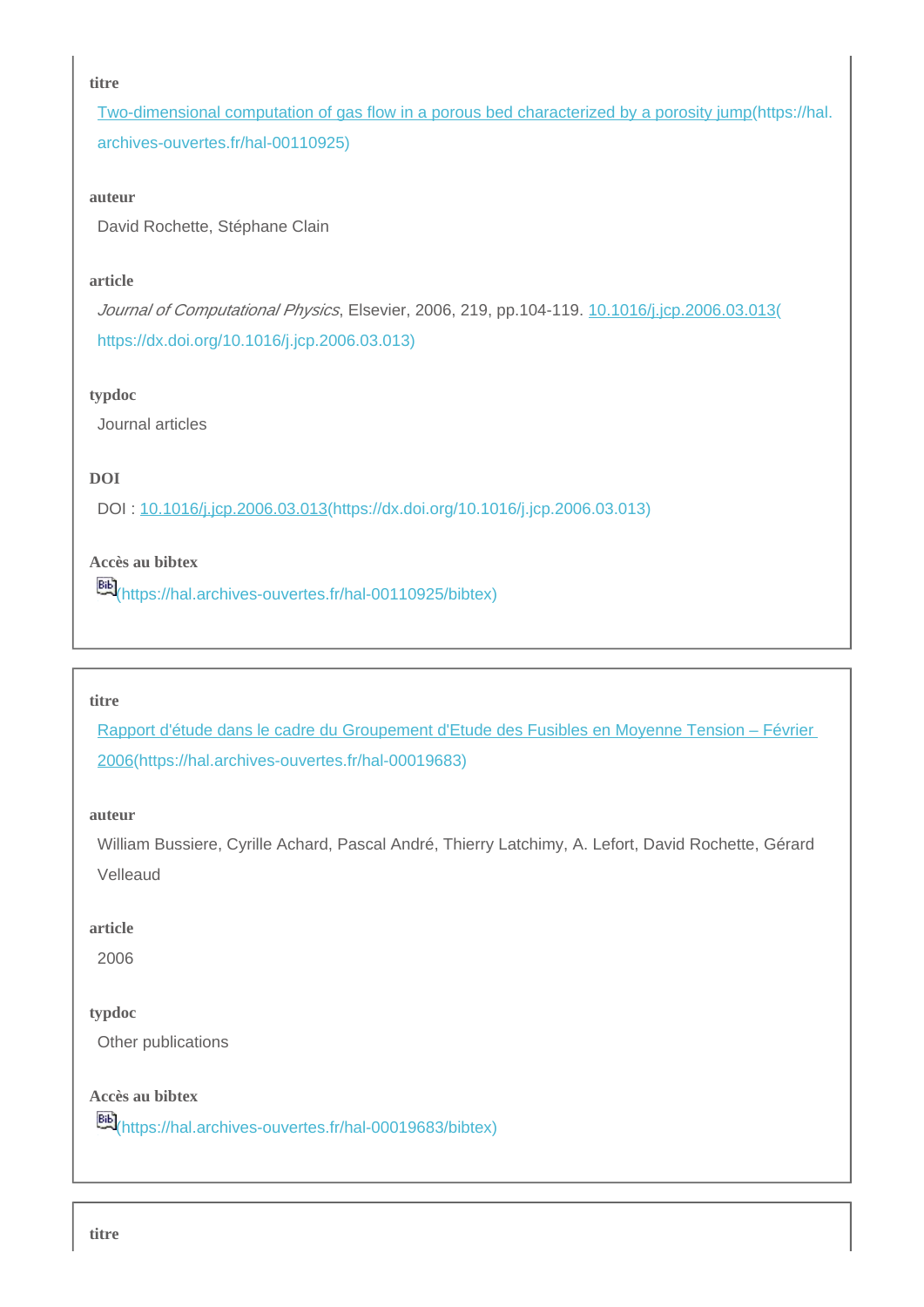#### **titre**

[Two-dimensional computation of gas flow in a porous bed characterized by a porosity jump\(https://hal.](https://hal.archives-ouvertes.fr/hal-00110925) [archives-ouvertes.fr/hal-00110925\)](https://hal.archives-ouvertes.fr/hal-00110925)

#### **auteur**

David Rochette, Stéphane Clain

#### **article**

Journal of Computational Physics, Elsevier, 2006, 219, pp.104-119. [10.1016/j.jcp.2006.03.013\(](https://dx.doi.org/10.1016/j.jcp.2006.03.013) [https://dx.doi.org/10.1016/j.jcp.2006.03.013\)](https://dx.doi.org/10.1016/j.jcp.2006.03.013)

### **typdoc**

Journal articles

## **DOI**

DOI : [10.1016/j.jcp.2006.03.013\(https://dx.doi.org/10.1016/j.jcp.2006.03.013\)](https://dx.doi.org/10.1016/j.jcp.2006.03.013)

## **Accès au bibtex**

[\(https://hal.archives-ouvertes.fr/hal-00110925/bibtex\)](https://hal.archives-ouvertes.fr/hal-00110925/bibtex)

## **titre**

[Rapport d'étude dans le cadre du Groupement d'Etude des Fusibles en Moyenne Tension – Février](https://hal.archives-ouvertes.fr/hal-00019683)  [2006\(https://hal.archives-ouvertes.fr/hal-00019683\)](https://hal.archives-ouvertes.fr/hal-00019683)

#### **auteur**

William Bussiere, Cyrille Achard, Pascal André, Thierry Latchimy, A. Lefort, David Rochette, Gérard Velleaud

#### **article**

2006

## **typdoc**

Other publications

## **Accès au bibtex**

[\(https://hal.archives-ouvertes.fr/hal-00019683/bibtex\)](https://hal.archives-ouvertes.fr/hal-00019683/bibtex)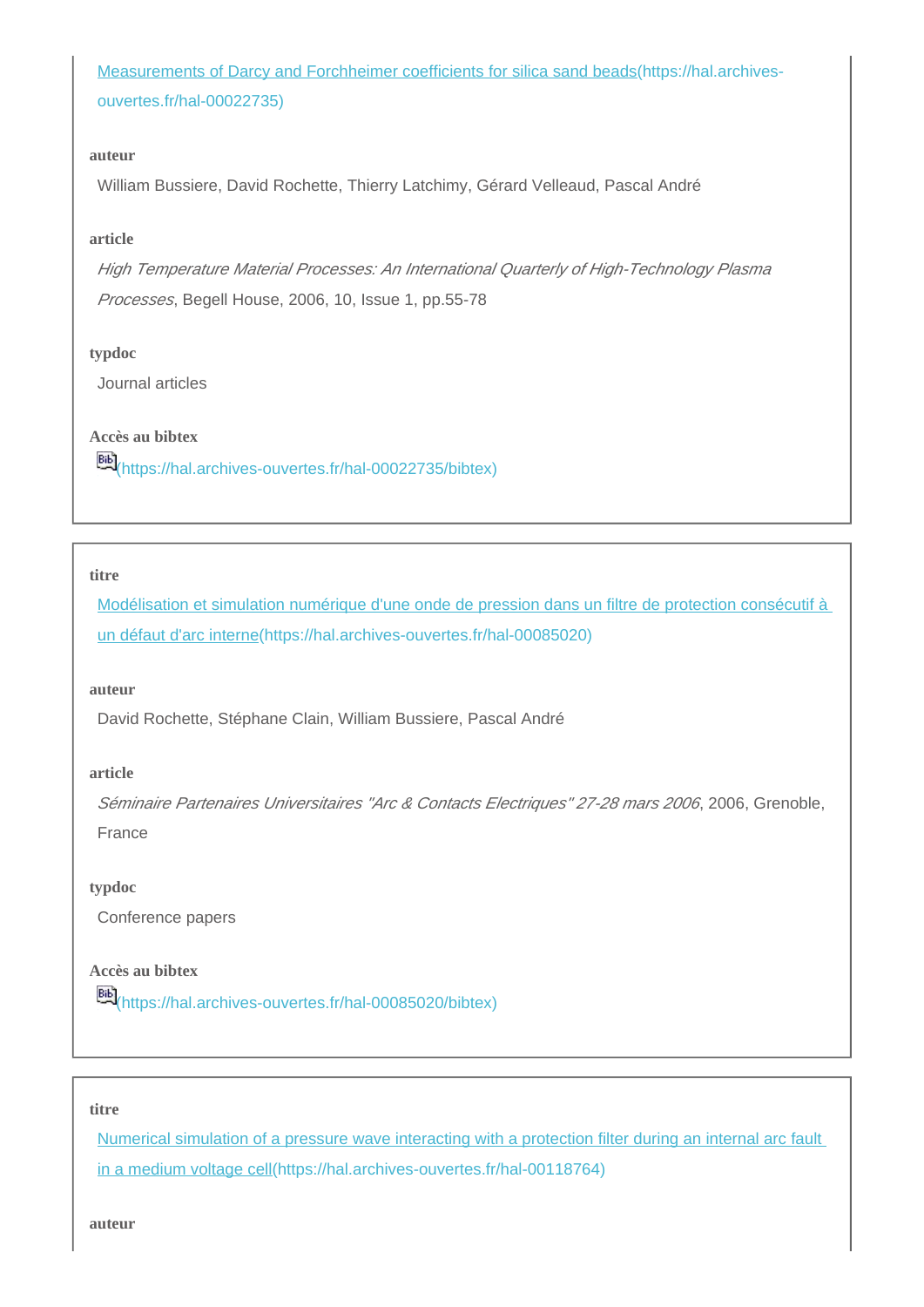[Measurements of Darcy and Forchheimer coefficients for silica sand beads\(https://hal.archives](https://hal.archives-ouvertes.fr/hal-00022735)[ouvertes.fr/hal-00022735\)](https://hal.archives-ouvertes.fr/hal-00022735)

#### **auteur**

William Bussiere, David Rochette, Thierry Latchimy, Gérard Velleaud, Pascal André

#### **article**

High Temperature Material Processes: An International Quarterly of High-Technology Plasma Processes, Begell House, 2006, 10, Issue 1, pp.55-78

#### **typdoc**

Journal articles

## **Accès au bibtex**

[66]<br>[\(https://hal.archives-ouvertes.fr/hal-00022735/bibtex\)](https://hal.archives-ouvertes.fr/hal-00022735/bibtex)

#### **titre**

[Modélisation et simulation numérique d'une onde de pression dans un filtre de protection consécutif à](https://hal.archives-ouvertes.fr/hal-00085020)  [un défaut d'arc interne\(https://hal.archives-ouvertes.fr/hal-00085020\)](https://hal.archives-ouvertes.fr/hal-00085020)

#### **auteur**

David Rochette, Stéphane Clain, William Bussiere, Pascal André

#### **article**

Séminaire Partenaires Universitaires "Arc & Contacts Electriques" 27-28 mars 2006, 2006, Grenoble, France

#### **typdoc**

Conference papers

## **Accès au bibtex**

[\(https://hal.archives-ouvertes.fr/hal-00085020/bibtex\)](https://hal.archives-ouvertes.fr/hal-00085020/bibtex)

#### **titre**

[Numerical simulation of a pressure wave interacting with a protection filter during an internal arc fault](https://hal.archives-ouvertes.fr/hal-00118764)  [in a medium voltage cell\(https://hal.archives-ouvertes.fr/hal-00118764\)](https://hal.archives-ouvertes.fr/hal-00118764)

**auteur**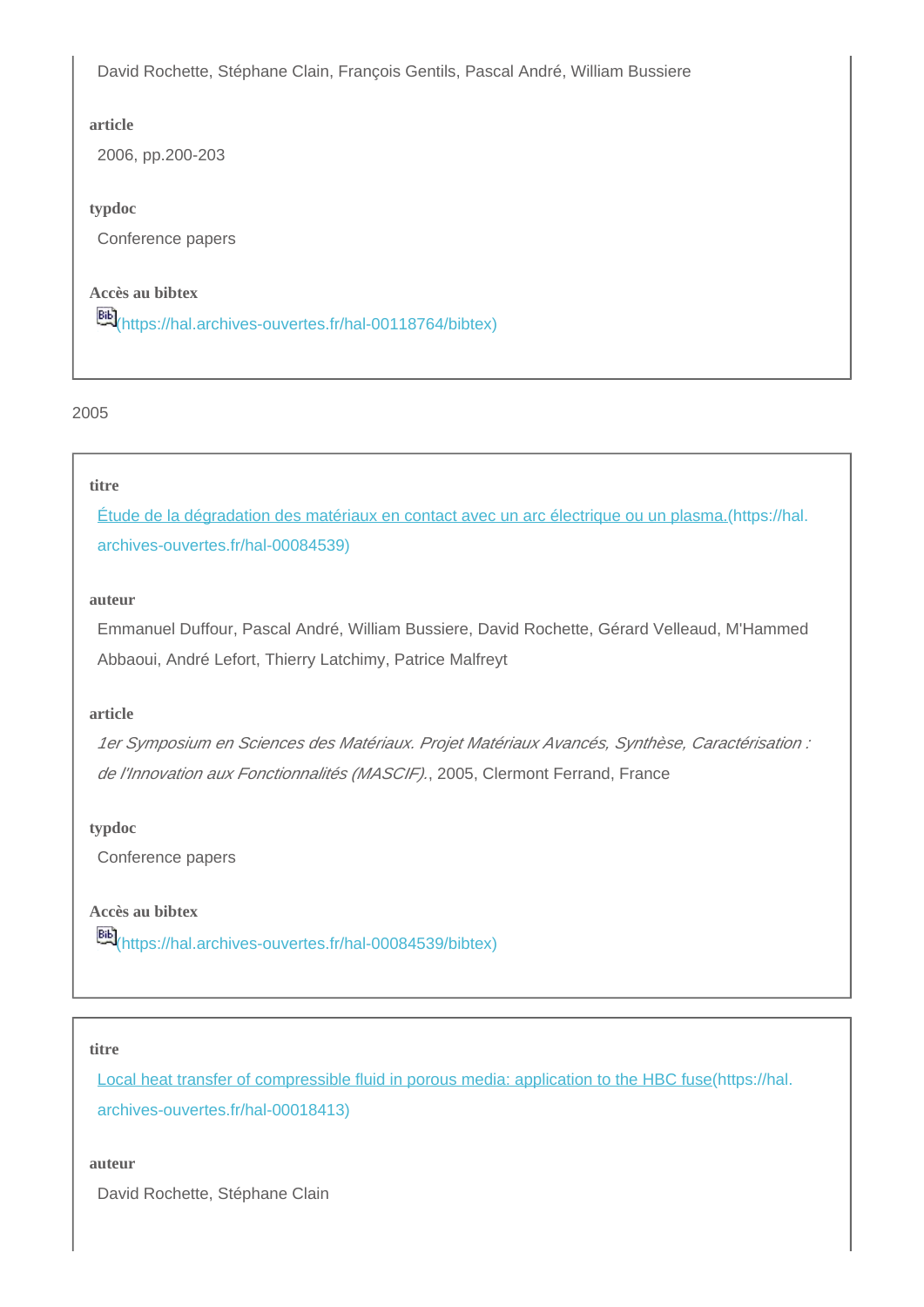David Rochette, Stéphane Clain, François Gentils, Pascal André, William Bussiere

#### **article**

2006, pp.200-203

### **typdoc**

Conference papers

## **Accès au bibtex**

[66]<br>[\(https://hal.archives-ouvertes.fr/hal-00118764/bibtex\)](https://hal.archives-ouvertes.fr/hal-00118764/bibtex)

2005

## **titre**

[Étude de la dégradation des matériaux en contact avec un arc électrique ou un plasma.\(https://hal.](https://hal.archives-ouvertes.fr/hal-00084539) [archives-ouvertes.fr/hal-00084539\)](https://hal.archives-ouvertes.fr/hal-00084539)

#### **auteur**

Emmanuel Duffour, Pascal André, William Bussiere, David Rochette, Gérard Velleaud, M'Hammed Abbaoui, André Lefort, Thierry Latchimy, Patrice Malfreyt

## **article**

1er Symposium en Sciences des Matériaux. Projet Matériaux Avancés, Synthèse, Caractérisation : de l'Innovation aux Fonctionnalités (MASCIF)., 2005, Clermont Ferrand, France

#### **typdoc**

Conference papers

**Accès au bibtex** [\(https://hal.archives-ouvertes.fr/hal-00084539/bibtex\)](https://hal.archives-ouvertes.fr/hal-00084539/bibtex)

#### **titre**

[Local heat transfer of compressible fluid in porous media: application to the HBC fuse\(https://hal.](https://hal.archives-ouvertes.fr/hal-00018413) [archives-ouvertes.fr/hal-00018413\)](https://hal.archives-ouvertes.fr/hal-00018413)

**auteur**

David Rochette, Stéphane Clain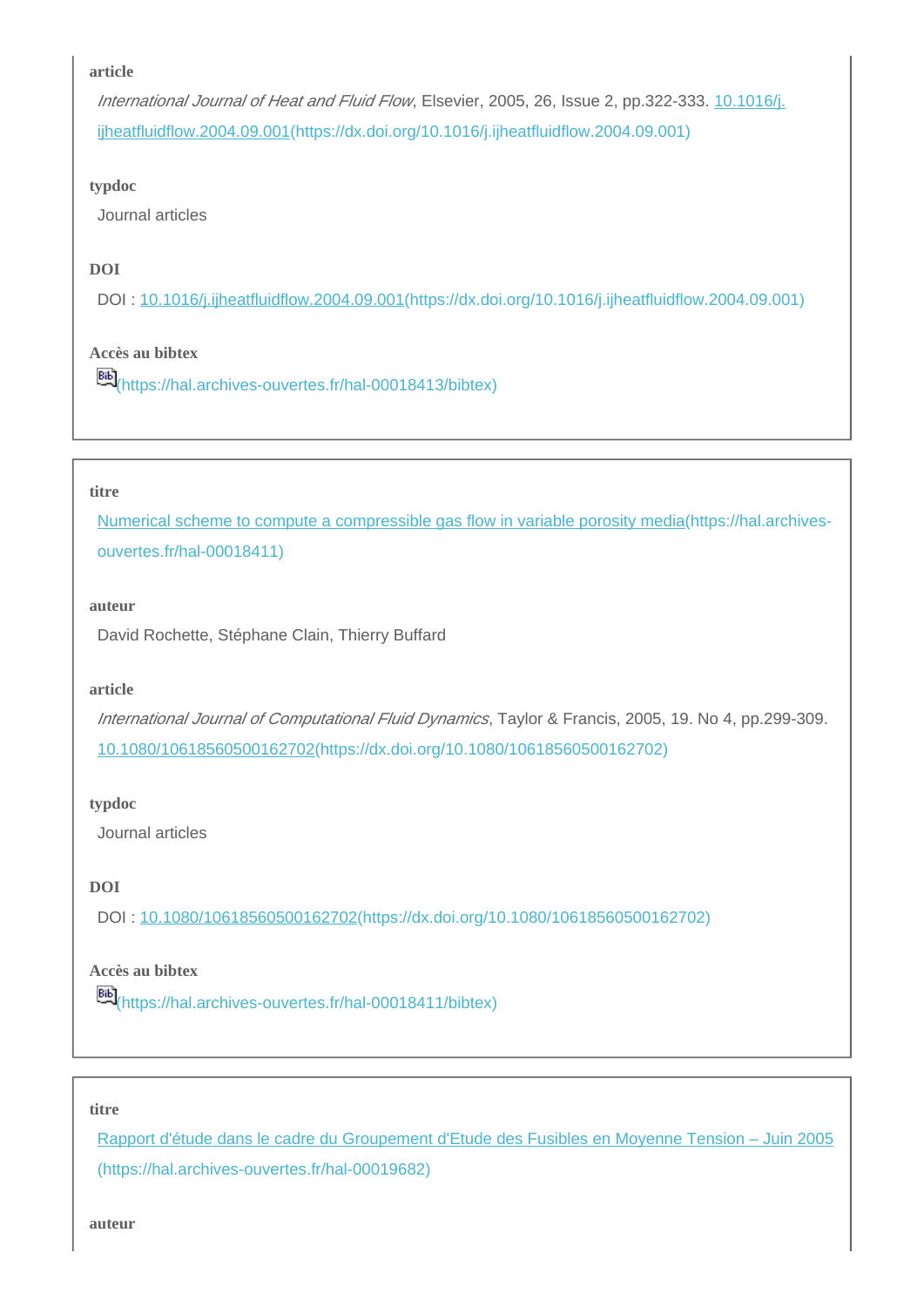International Journal of Heat and Fluid Flow, Elsevier, 2005, 26, Issue 2, pp.322-333. [10.1016/j.](https://dx.doi.org/10.1016/j.ijheatfluidflow.2004.09.001) [ijheatfluidflow.2004.09.001\(https://dx.doi.org/10.1016/j.ijheatfluidflow.2004.09.001\)](https://dx.doi.org/10.1016/j.ijheatfluidflow.2004.09.001)

#### **typdoc**

Journal articles

## **DOI**

DOI : [10.1016/j.ijheatfluidflow.2004.09.001\(https://dx.doi.org/10.1016/j.ijheatfluidflow.2004.09.001\)](https://dx.doi.org/10.1016/j.ijheatfluidflow.2004.09.001)

## **Accès au bibtex**

[\(https://hal.archives-ouvertes.fr/hal-00018413/bibtex\)](https://hal.archives-ouvertes.fr/hal-00018413/bibtex)

#### **titre**

[Numerical scheme to compute a compressible gas flow in variable porosity media\(https://hal.archives](https://hal.archives-ouvertes.fr/hal-00018411)[ouvertes.fr/hal-00018411\)](https://hal.archives-ouvertes.fr/hal-00018411)

#### **auteur**

David Rochette, Stéphane Clain, Thierry Buffard

#### **article**

International Journal of Computational Fluid Dynamics, Taylor & Francis, 2005, 19. No 4, pp.299-309. [10.1080/10618560500162702\(https://dx.doi.org/10.1080/10618560500162702\)](https://dx.doi.org/10.1080/10618560500162702)

#### **typdoc**

Journal articles

### **DOI**

DOI : [10.1080/10618560500162702\(https://dx.doi.org/10.1080/10618560500162702\)](https://dx.doi.org/10.1080/10618560500162702)

## **Accès au bibtex**

[\(https://hal.archives-ouvertes.fr/hal-00018411/bibtex\)](https://hal.archives-ouvertes.fr/hal-00018411/bibtex)

#### **titre**

[Rapport d'étude dans le cadre du Groupement d'Etude des Fusibles en Moyenne Tension – Juin 2005](https://hal.archives-ouvertes.fr/hal-00019682) [\(https://hal.archives-ouvertes.fr/hal-00019682\)](https://hal.archives-ouvertes.fr/hal-00019682)

**auteur**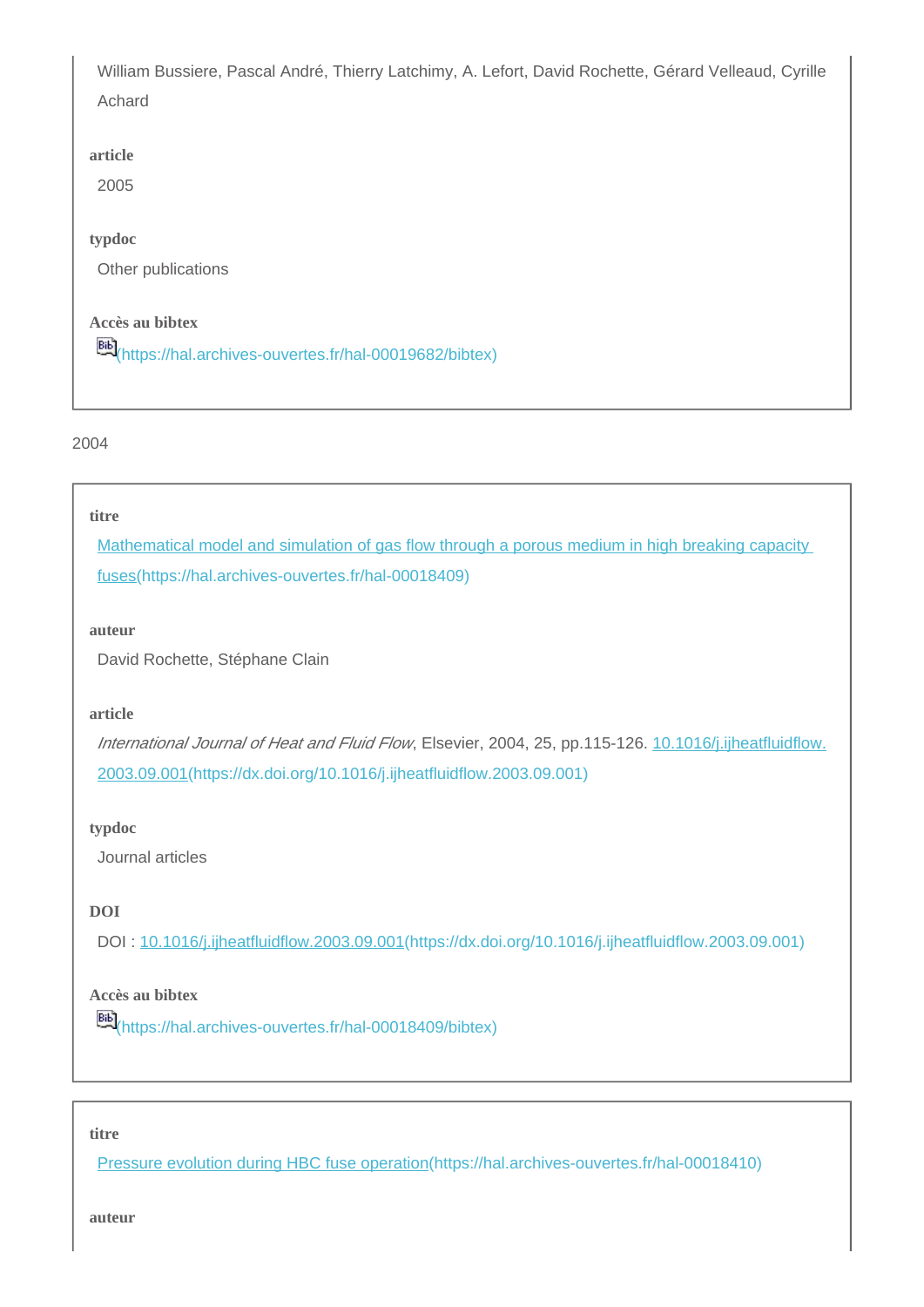William Bussiere, Pascal André, Thierry Latchimy, A. Lefort, David Rochette, Gérard Velleaud, Cyrille Achard

#### **article**

2005

## **typdoc**

Other publications

## **Accès au bibtex**

[\(https://hal.archives-ouvertes.fr/hal-00019682/bibtex\)](https://hal.archives-ouvertes.fr/hal-00019682/bibtex)

#### 2004

#### **titre**

[Mathematical model and simulation of gas flow through a porous medium in high breaking capacity](https://hal.archives-ouvertes.fr/hal-00018409)  [fuses\(https://hal.archives-ouvertes.fr/hal-00018409\)](https://hal.archives-ouvertes.fr/hal-00018409)

#### **auteur**

David Rochette, Stéphane Clain

#### **article**

International Journal of Heat and Fluid Flow, Elsevier, 2004, 25, pp.115-126. [10.1016/j.ijheatfluidflow.](https://dx.doi.org/10.1016/j.ijheatfluidflow.2003.09.001) [2003.09.001\(https://dx.doi.org/10.1016/j.ijheatfluidflow.2003.09.001\)](https://dx.doi.org/10.1016/j.ijheatfluidflow.2003.09.001)

#### **typdoc**

Journal articles

## **DOI**

DOI : [10.1016/j.ijheatfluidflow.2003.09.001\(https://dx.doi.org/10.1016/j.ijheatfluidflow.2003.09.001\)](https://dx.doi.org/10.1016/j.ijheatfluidflow.2003.09.001)

## **Accès au bibtex**

**Bib**<sup>[\(https://hal.archives-ouvertes.fr/hal-00018409/bibtex\)](https://hal.archives-ouvertes.fr/hal-00018409/bibtex)</sup>

#### **titre**

[Pressure evolution during HBC fuse operation\(https://hal.archives-ouvertes.fr/hal-00018410\)](https://hal.archives-ouvertes.fr/hal-00018410)

**auteur**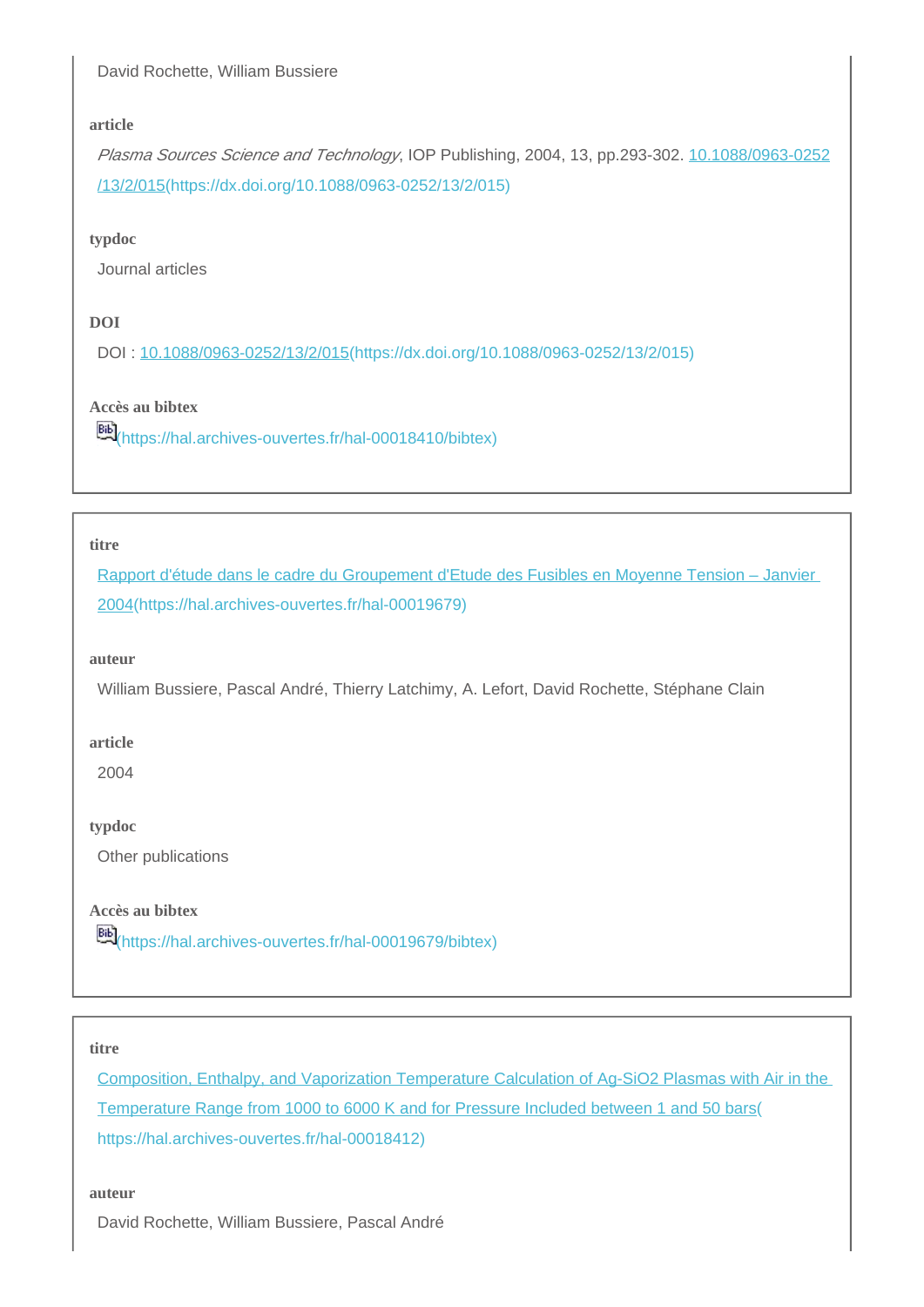## David Rochette, William Bussiere

#### **article**

Plasma Sources Science and Technology, IOP Publishing, 2004, 13, pp.293-302. [10.1088/0963-0252](https://dx.doi.org/10.1088/0963-0252/13/2/015) [/13/2/015\(https://dx.doi.org/10.1088/0963-0252/13/2/015\)](https://dx.doi.org/10.1088/0963-0252/13/2/015)

#### **typdoc**

Journal articles

## **DOI**

DOI : [10.1088/0963-0252/13/2/015\(https://dx.doi.org/10.1088/0963-0252/13/2/015\)](https://dx.doi.org/10.1088/0963-0252/13/2/015)

## **Accès au bibtex**

[\(https://hal.archives-ouvertes.fr/hal-00018410/bibtex\)](https://hal.archives-ouvertes.fr/hal-00018410/bibtex)

#### **titre**

[Rapport d'étude dans le cadre du Groupement d'Etude des Fusibles en Moyenne Tension – Janvier](https://hal.archives-ouvertes.fr/hal-00019679)  [2004\(https://hal.archives-ouvertes.fr/hal-00019679\)](https://hal.archives-ouvertes.fr/hal-00019679)

#### **auteur**

William Bussiere, Pascal André, Thierry Latchimy, A. Lefort, David Rochette, Stéphane Clain

#### **article**

2004

## **typdoc**

Other publications

## **Accès au bibtex**

**EE**<sup>[\(https://hal.archives-ouvertes.fr/hal-00019679/bibtex\)](https://hal.archives-ouvertes.fr/hal-00019679/bibtex)</sup>

## **titre**

[Composition, Enthalpy, and Vaporization Temperature Calculation of Ag-SiO2 Plasmas with Air in the](https://hal.archives-ouvertes.fr/hal-00018412)  [Temperature Range from 1000 to 6000 K and for Pressure Included between 1 and 50 bars\(](https://hal.archives-ouvertes.fr/hal-00018412) [https://hal.archives-ouvertes.fr/hal-00018412\)](https://hal.archives-ouvertes.fr/hal-00018412)

#### **auteur**

David Rochette, William Bussiere, Pascal André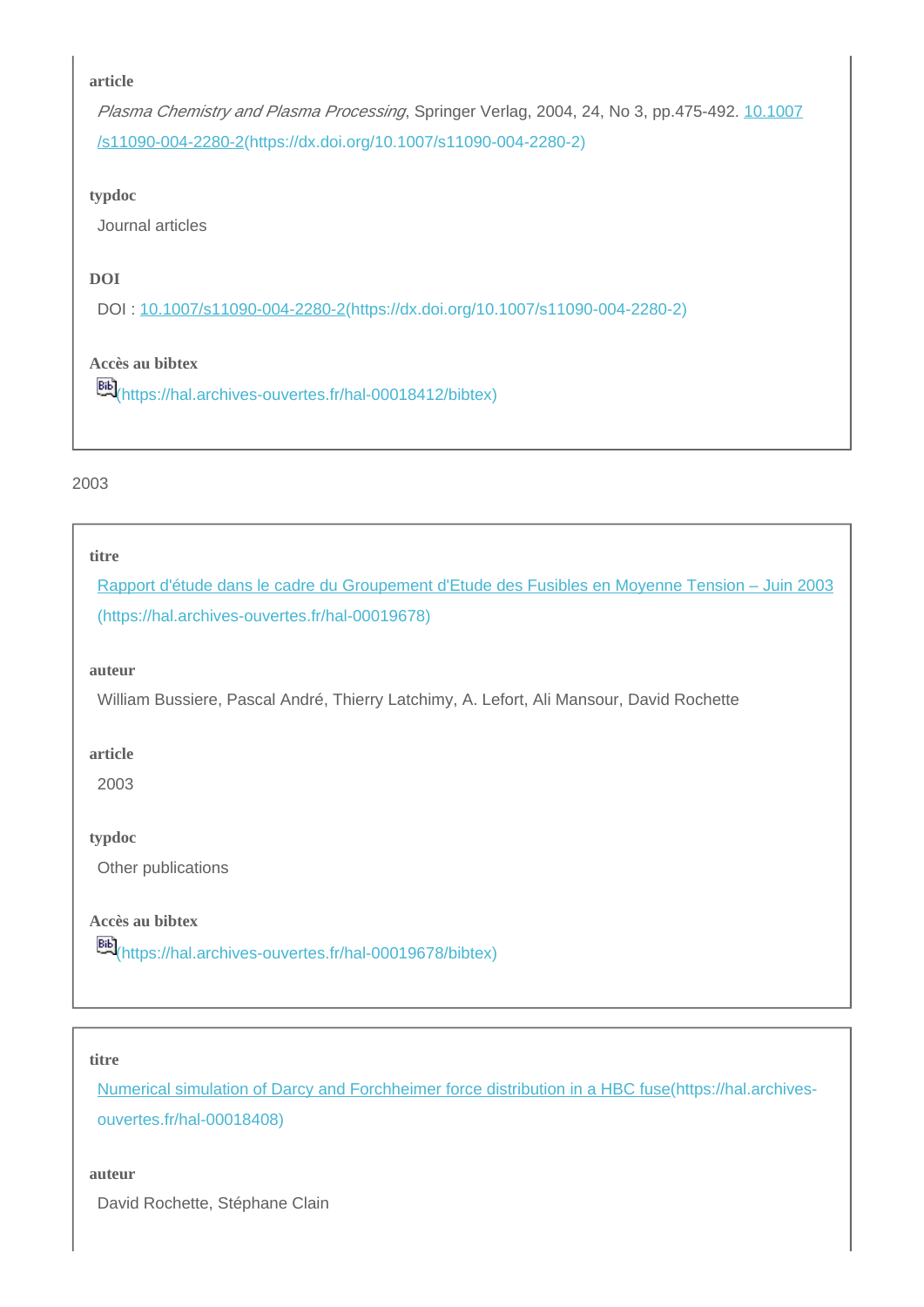Plasma Chemistry and Plasma Processing, Springer Verlag, 2004, 24, No 3, pp.475-492. [10.1007](https://dx.doi.org/10.1007/s11090-004-2280-2) [/s11090-004-2280-2\(https://dx.doi.org/10.1007/s11090-004-2280-2\)](https://dx.doi.org/10.1007/s11090-004-2280-2)

#### **typdoc**

Journal articles

## **DOI**

DOI : [10.1007/s11090-004-2280-2\(https://dx.doi.org/10.1007/s11090-004-2280-2\)](https://dx.doi.org/10.1007/s11090-004-2280-2)

## **Accès au bibtex**

**Bib**<sub>[\(https://hal.archives-ouvertes.fr/hal-00018412/bibtex\)](https://hal.archives-ouvertes.fr/hal-00018412/bibtex)</sub>

#### 2003

#### **titre**

[Rapport d'étude dans le cadre du Groupement d'Etude des Fusibles en Moyenne Tension – Juin 2003](https://hal.archives-ouvertes.fr/hal-00019678) [\(https://hal.archives-ouvertes.fr/hal-00019678\)](https://hal.archives-ouvertes.fr/hal-00019678)

#### **auteur**

William Bussiere, Pascal André, Thierry Latchimy, A. Lefort, Ali Mansour, David Rochette

#### **article**

2003

**typdoc**

Other publications

**Accès au bibtex**

**Bib**<sub>[\(https://hal.archives-ouvertes.fr/hal-00019678/bibtex\)](https://hal.archives-ouvertes.fr/hal-00019678/bibtex)</sub>

#### **titre**

[Numerical simulation of Darcy and Forchheimer force distribution in a HBC fuse\(https://hal.archives](https://hal.archives-ouvertes.fr/hal-00018408)[ouvertes.fr/hal-00018408\)](https://hal.archives-ouvertes.fr/hal-00018408)

#### **auteur**

David Rochette, Stéphane Clain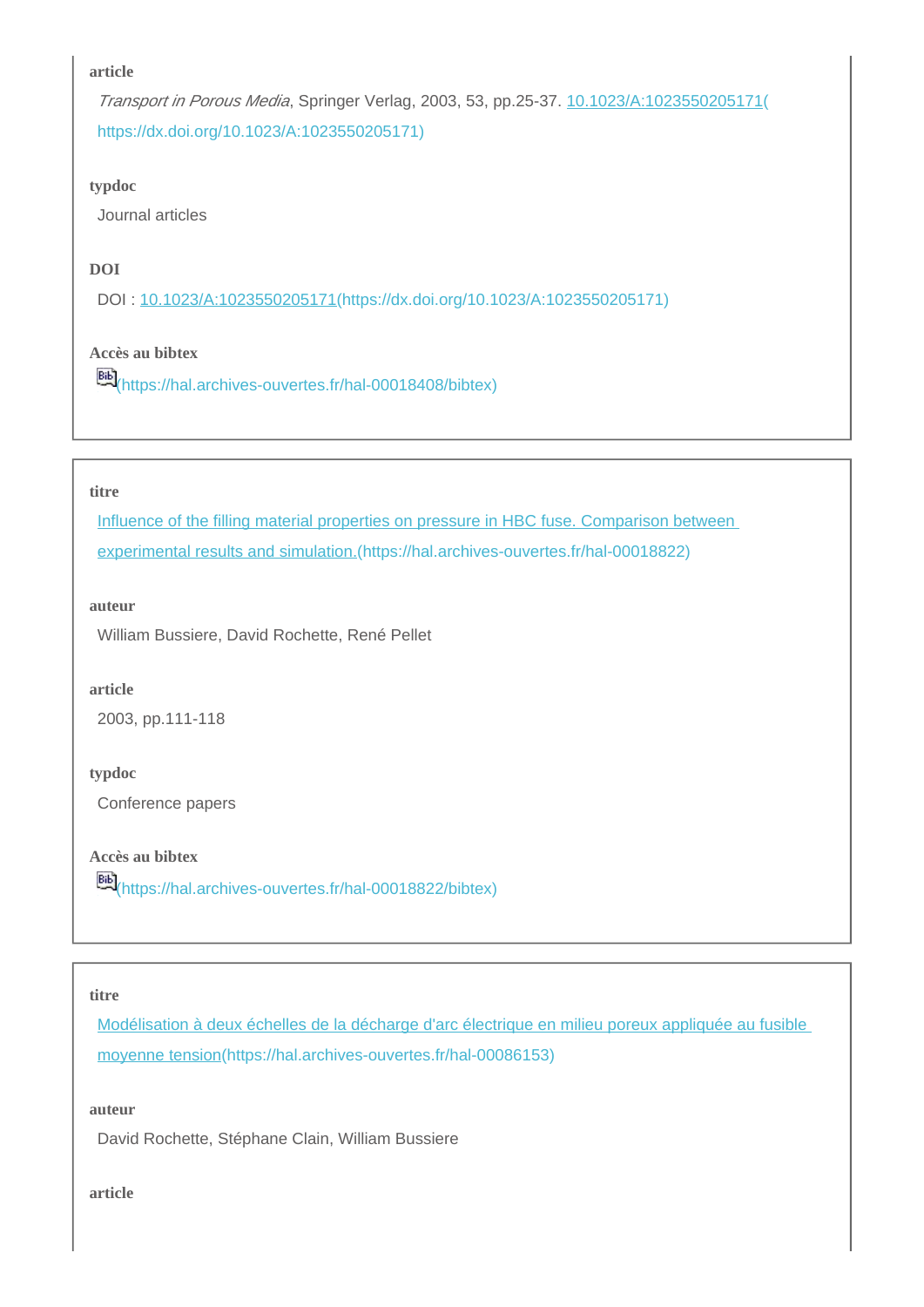Transport in Porous Media, Springer Verlag, 2003, 53, pp.25-37. [10.1023/A:1023550205171\(](https://dx.doi.org/10.1023/A:1023550205171) [https://dx.doi.org/10.1023/A:1023550205171\)](https://dx.doi.org/10.1023/A:1023550205171)

#### **typdoc**

Journal articles

## **DOI**

DOI : [10.1023/A:1023550205171\(https://dx.doi.org/10.1023/A:1023550205171\)](https://dx.doi.org/10.1023/A:1023550205171)

## **Accès au bibtex**

[\(https://hal.archives-ouvertes.fr/hal-00018408/bibtex\)](https://hal.archives-ouvertes.fr/hal-00018408/bibtex)

#### **titre**

Influence of the filling material properties on pressure in HBC fuse. Comparison between [experimental results and simulation.\(https://hal.archives-ouvertes.fr/hal-00018822\)](https://hal.archives-ouvertes.fr/hal-00018822)

#### **auteur**

William Bussiere, David Rochette, René Pellet

#### **article**

2003, pp.111-118

#### **typdoc**

Conference papers

**Accès au bibtex**

[66]<br>[\(https://hal.archives-ouvertes.fr/hal-00018822/bibtex\)](https://hal.archives-ouvertes.fr/hal-00018822/bibtex)

#### **titre**

[Modélisation à deux échelles de la décharge d'arc électrique en milieu poreux appliquée au fusible](https://hal.archives-ouvertes.fr/hal-00086153)  [moyenne tension\(https://hal.archives-ouvertes.fr/hal-00086153\)](https://hal.archives-ouvertes.fr/hal-00086153)

#### **auteur**

David Rochette, Stéphane Clain, William Bussiere

#### **article**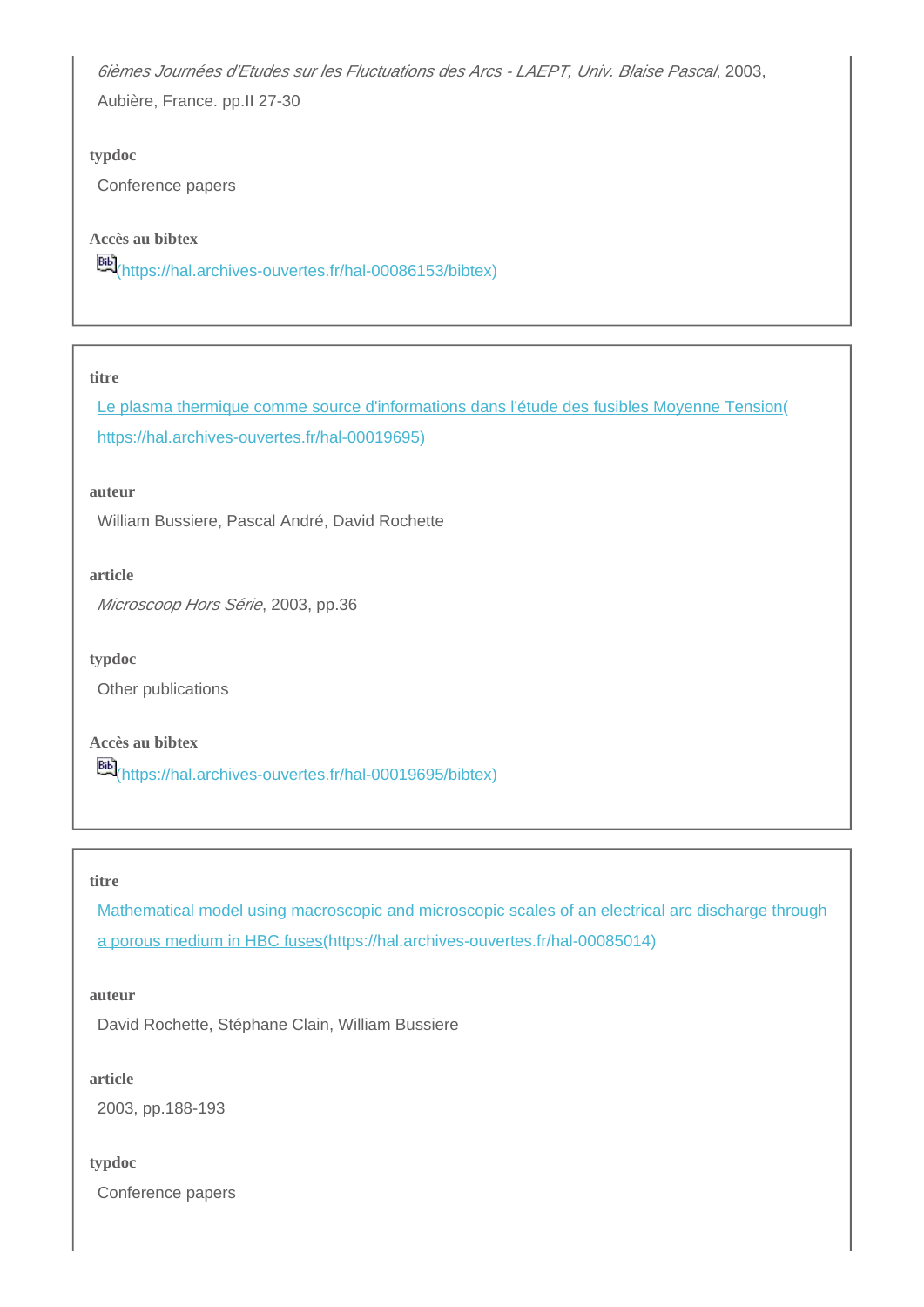6ièmes Journées d'Etudes sur les Fluctuations des Arcs - LAEPT, Univ. Blaise Pascal, 2003,

Aubière, France. pp.II 27-30

#### **typdoc**

Conference papers

**Accès au bibtex**

**Bib**<sub>[\(https://hal.archives-ouvertes.fr/hal-00086153/bibtex\)](https://hal.archives-ouvertes.fr/hal-00086153/bibtex)</sub>

#### **titre**

[Le plasma thermique comme source d'informations dans l'étude des fusibles Moyenne Tension\(](https://hal.archives-ouvertes.fr/hal-00019695) [https://hal.archives-ouvertes.fr/hal-00019695\)](https://hal.archives-ouvertes.fr/hal-00019695)

**auteur**

William Bussiere, Pascal André, David Rochette

**article**

Microscoop Hors Série, 2003, pp.36

**typdoc**

Other publications

**Accès au bibtex**

[\(https://hal.archives-ouvertes.fr/hal-00019695/bibtex\)](https://hal.archives-ouvertes.fr/hal-00019695/bibtex)

#### **titre**

[Mathematical model using macroscopic and microscopic scales of an electrical arc discharge through](https://hal.archives-ouvertes.fr/hal-00085014)  [a porous medium in HBC fuses\(https://hal.archives-ouvertes.fr/hal-00085014\)](https://hal.archives-ouvertes.fr/hal-00085014)

## **auteur**

David Rochette, Stéphane Clain, William Bussiere

### **article**

2003, pp.188-193

#### **typdoc**

Conference papers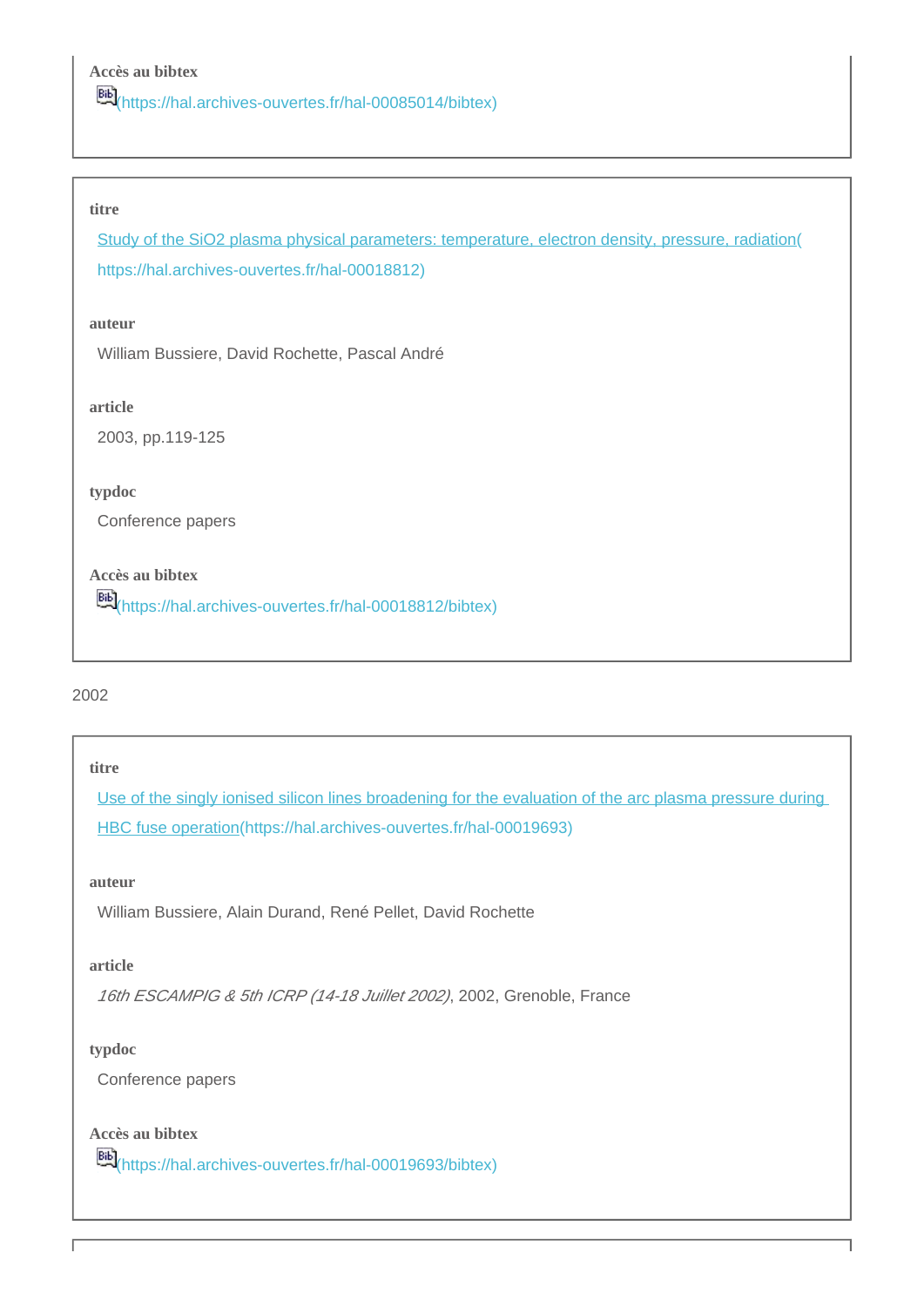[\(https://hal.archives-ouvertes.fr/hal-00085014/bibtex\)](https://hal.archives-ouvertes.fr/hal-00085014/bibtex)

#### **titre**

[Study of the SiO2 plasma physical parameters: temperature, electron density, pressure, radiation\(](https://hal.archives-ouvertes.fr/hal-00018812) [https://hal.archives-ouvertes.fr/hal-00018812\)](https://hal.archives-ouvertes.fr/hal-00018812)

#### **auteur**

William Bussiere, David Rochette, Pascal André

#### **article**

2003, pp.119-125

#### **typdoc**

Conference papers

## **Accès au bibtex**

[\(https://hal.archives-ouvertes.fr/hal-00018812/bibtex\)](https://hal.archives-ouvertes.fr/hal-00018812/bibtex)

#### 2002

#### **titre**

[Use of the singly ionised silicon lines broadening for the evaluation of the arc plasma pressure during](https://hal.archives-ouvertes.fr/hal-00019693)  [HBC fuse operation\(https://hal.archives-ouvertes.fr/hal-00019693\)](https://hal.archives-ouvertes.fr/hal-00019693)

## **auteur**

William Bussiere, Alain Durand, René Pellet, David Rochette

#### **article**

16th ESCAMPIG & 5th ICRP (14-18 Juillet 2002), 2002, Grenoble, France

#### **typdoc**

Conference papers

#### **Accès au bibtex**

[\(https://hal.archives-ouvertes.fr/hal-00019693/bibtex\)](https://hal.archives-ouvertes.fr/hal-00019693/bibtex)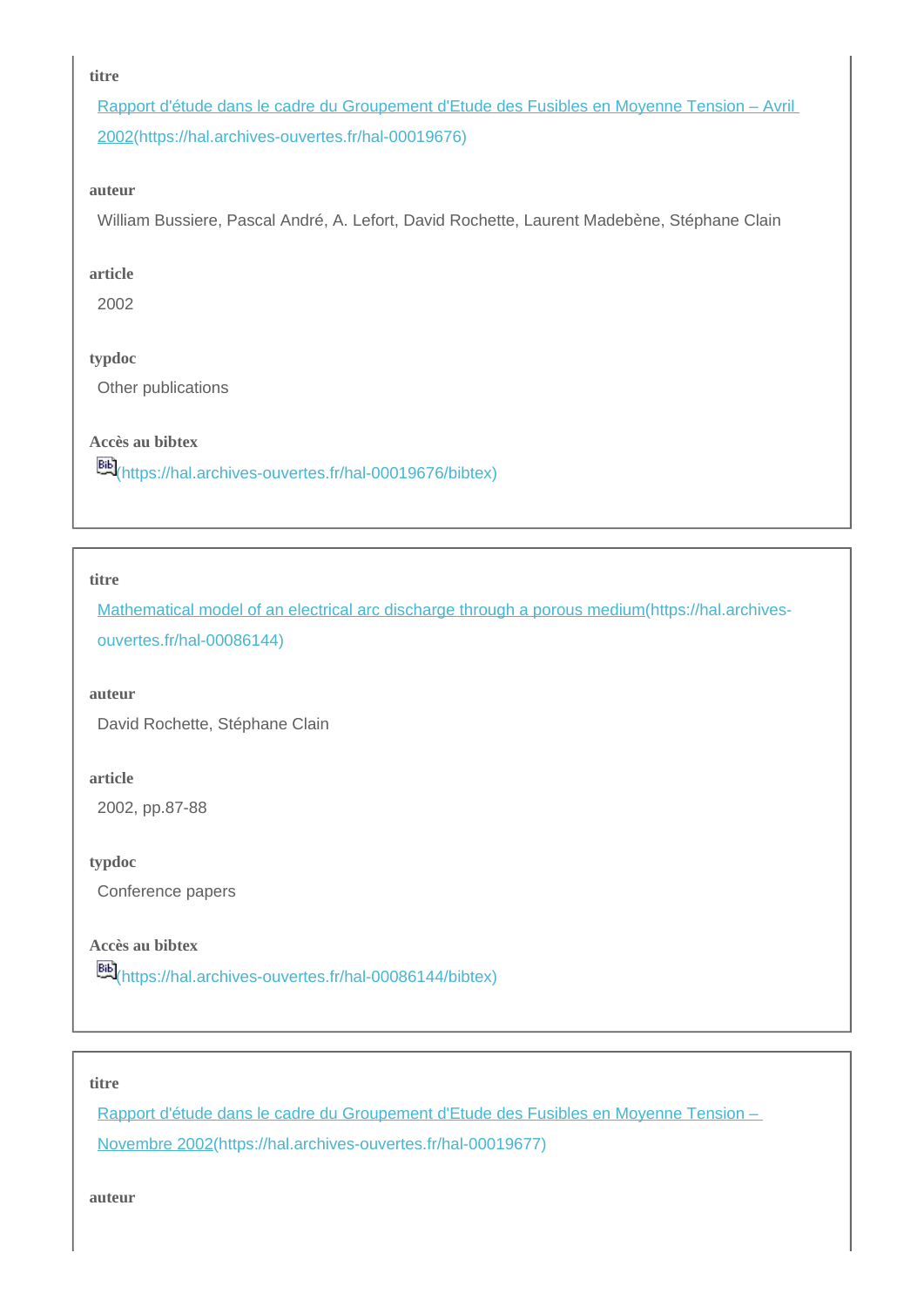#### **titre**

[Rapport d'étude dans le cadre du Groupement d'Etude des Fusibles en Moyenne Tension – Avril](https://hal.archives-ouvertes.fr/hal-00019676)  [2002\(https://hal.archives-ouvertes.fr/hal-00019676\)](https://hal.archives-ouvertes.fr/hal-00019676)

#### **auteur**

William Bussiere, Pascal André, A. Lefort, David Rochette, Laurent Madebène, Stéphane Clain

#### **article**

2002

#### **typdoc**

Other publications

## **Accès au bibtex**

[\(https://hal.archives-ouvertes.fr/hal-00019676/bibtex\)](https://hal.archives-ouvertes.fr/hal-00019676/bibtex)

#### **titre**

[Mathematical model of an electrical arc discharge through a porous medium\(https://hal.archives](https://hal.archives-ouvertes.fr/hal-00086144)[ouvertes.fr/hal-00086144\)](https://hal.archives-ouvertes.fr/hal-00086144)

#### **auteur**

David Rochette, Stéphane Clain

#### **article**

2002, pp.87-88

**typdoc**

Conference papers

## **Accès au bibtex**

[\(https://hal.archives-ouvertes.fr/hal-00086144/bibtex\)](https://hal.archives-ouvertes.fr/hal-00086144/bibtex)

#### **titre**

[Rapport d'étude dans le cadre du Groupement d'Etude des Fusibles en Moyenne Tension –](https://hal.archives-ouvertes.fr/hal-00019677)  [Novembre 2002\(https://hal.archives-ouvertes.fr/hal-00019677\)](https://hal.archives-ouvertes.fr/hal-00019677)

**auteur**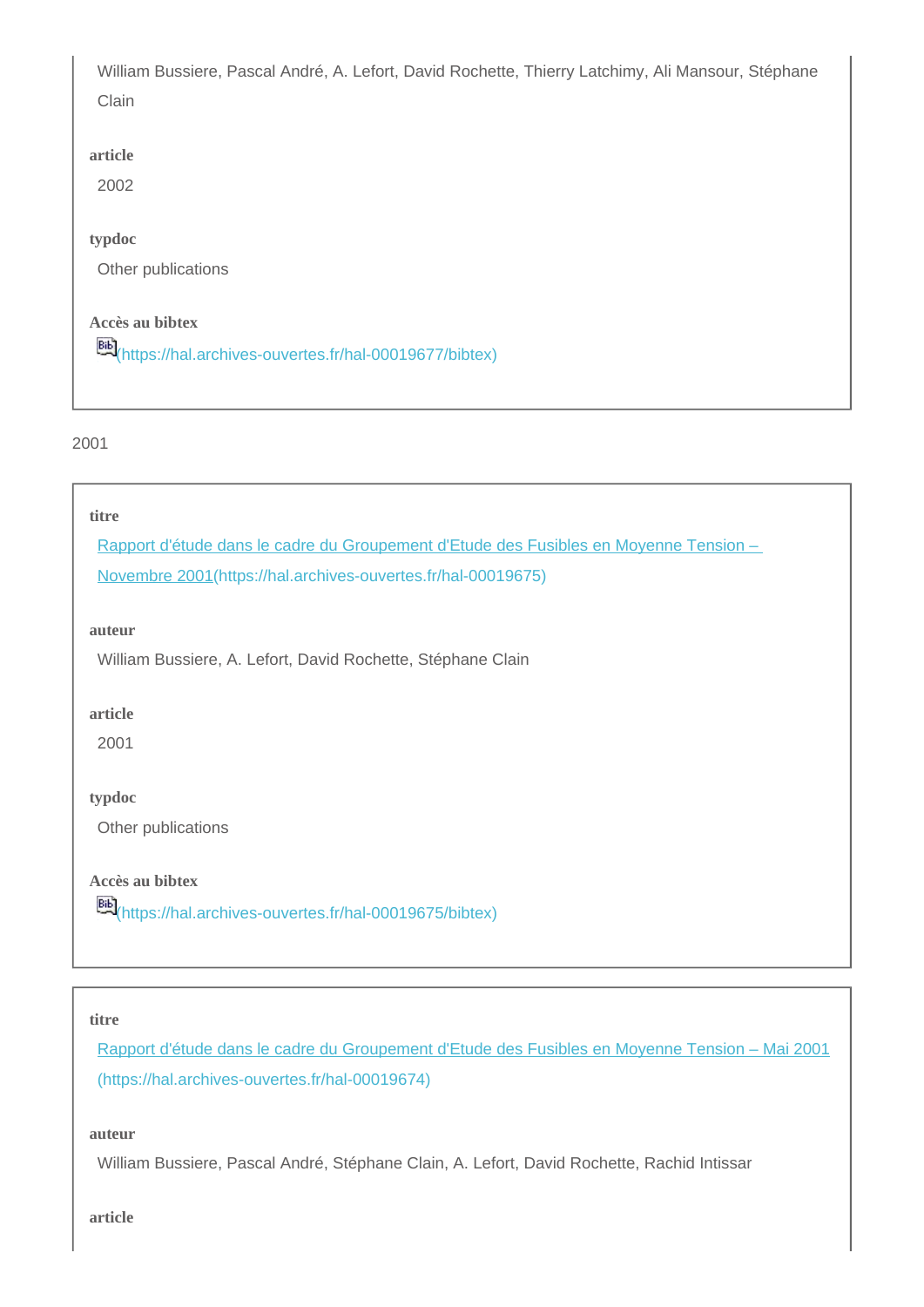William Bussiere, Pascal André, A. Lefort, David Rochette, Thierry Latchimy, Ali Mansour, Stéphane Clain

## **article**

2002

### **typdoc**

Other publications

## **Accès au bibtex**

[\(https://hal.archives-ouvertes.fr/hal-00019677/bibtex\)](https://hal.archives-ouvertes.fr/hal-00019677/bibtex)

#### 2001

#### **titre**

[Rapport d'étude dans le cadre du Groupement d'Etude des Fusibles en Moyenne Tension –](https://hal.archives-ouvertes.fr/hal-00019675) 

[Novembre 2001\(https://hal.archives-ouvertes.fr/hal-00019675\)](https://hal.archives-ouvertes.fr/hal-00019675)

#### **auteur**

William Bussiere, A. Lefort, David Rochette, Stéphane Clain

#### **article**

2001

## **typdoc**

Other publications

## **Accès au bibtex**

[\(https://hal.archives-ouvertes.fr/hal-00019675/bibtex\)](https://hal.archives-ouvertes.fr/hal-00019675/bibtex)

#### **titre**

[Rapport d'étude dans le cadre du Groupement d'Etude des Fusibles en Moyenne Tension – Mai 2001](https://hal.archives-ouvertes.fr/hal-00019674) [\(https://hal.archives-ouvertes.fr/hal-00019674\)](https://hal.archives-ouvertes.fr/hal-00019674)

## **auteur**

William Bussiere, Pascal André, Stéphane Clain, A. Lefort, David Rochette, Rachid Intissar

**article**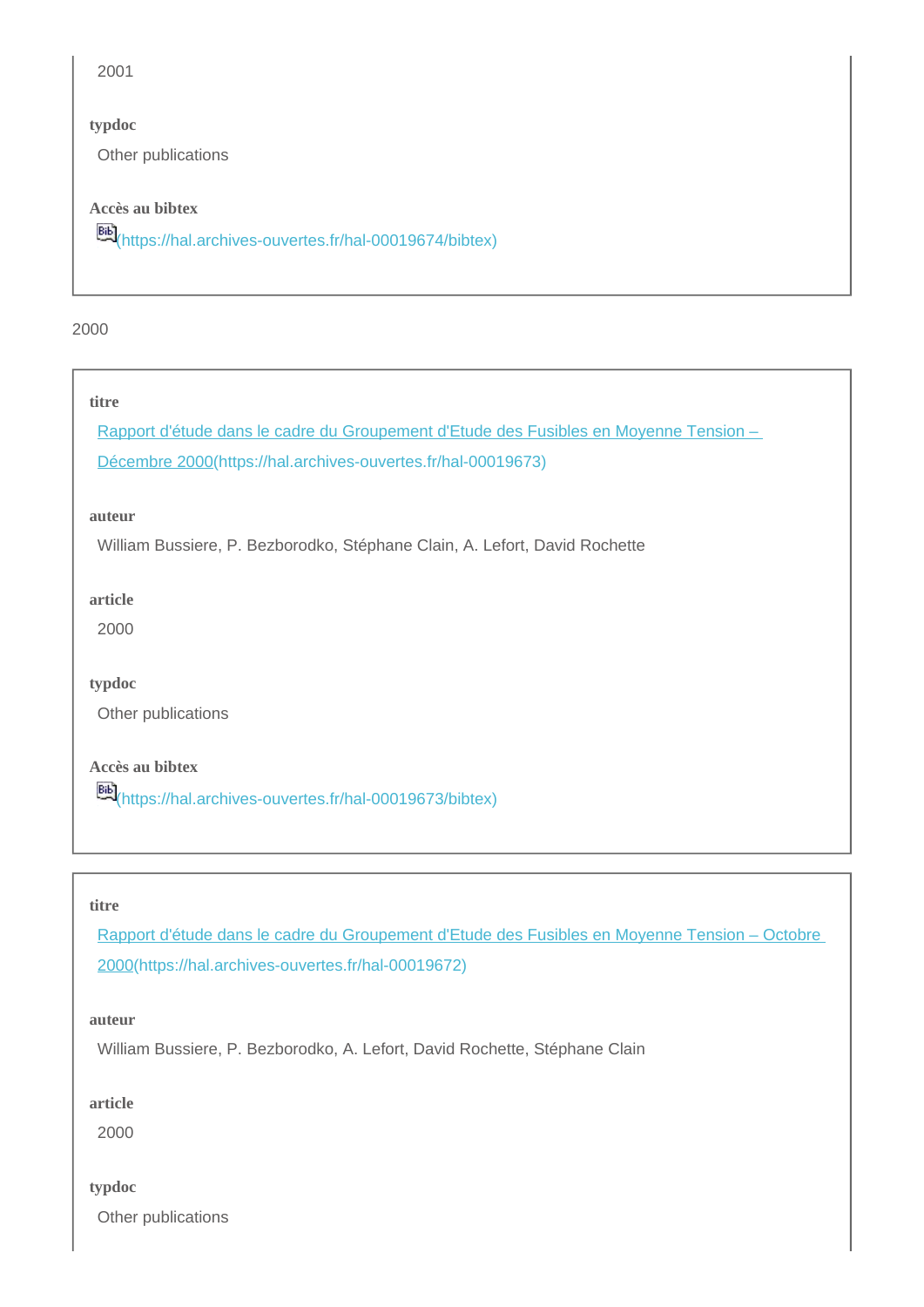2001

#### **typdoc**

Other publications

## **Accès au bibtex**

[\(https://hal.archives-ouvertes.fr/hal-00019674/bibtex\)](https://hal.archives-ouvertes.fr/hal-00019674/bibtex)

2000

#### **titre**

[Rapport d'étude dans le cadre du Groupement d'Etude des Fusibles en Moyenne Tension –](https://hal.archives-ouvertes.fr/hal-00019673)  [Décembre 2000\(https://hal.archives-ouvertes.fr/hal-00019673\)](https://hal.archives-ouvertes.fr/hal-00019673)

**auteur**

William Bussiere, P. Bezborodko, Stéphane Clain, A. Lefort, David Rochette

**article**

2000

**typdoc**

Other publications

**Accès au bibtex**

[\(https://hal.archives-ouvertes.fr/hal-00019673/bibtex\)](https://hal.archives-ouvertes.fr/hal-00019673/bibtex)

#### **titre**

[Rapport d'étude dans le cadre du Groupement d'Etude des Fusibles en Moyenne Tension – Octobre](https://hal.archives-ouvertes.fr/hal-00019672)  [2000\(https://hal.archives-ouvertes.fr/hal-00019672\)](https://hal.archives-ouvertes.fr/hal-00019672)

**auteur**

William Bussiere, P. Bezborodko, A. Lefort, David Rochette, Stéphane Clain

**article**

2000

**typdoc**

Other publications